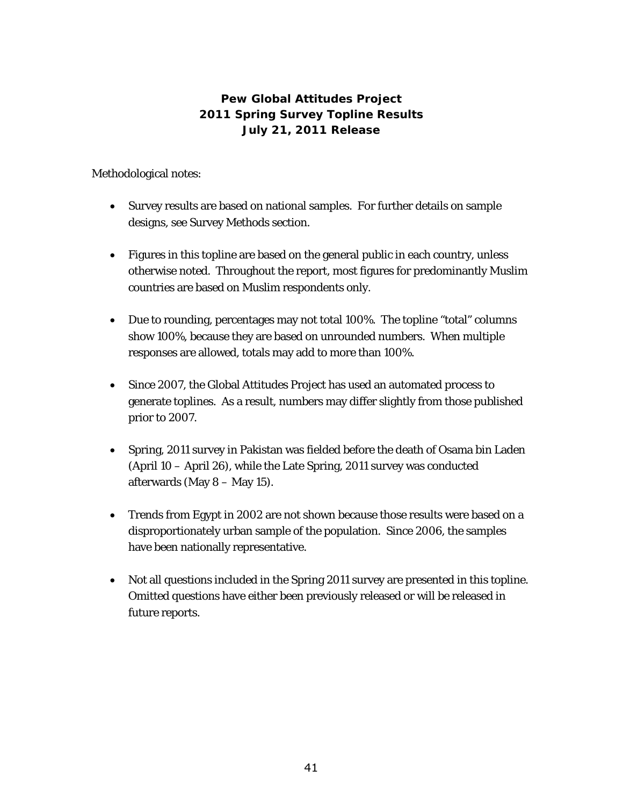## **Pew Global Attitudes Project 2011 Spring Survey Topline Results July 21, 2011 Release**

Methodological notes:

- Survey results are based on national samples. For further details on sample designs, see Survey Methods section.
- Figures in this topline are based on the general public in each country, unless otherwise noted. Throughout the report, most figures for predominantly Muslim countries are based on Muslim respondents only.
- Due to rounding, percentages may not total 100%. The topline "total" columns show 100%, because they are based on unrounded numbers. When multiple responses are allowed, totals may add to more than 100%.
- Since 2007, the Global Attitudes Project has used an automated process to generate toplines. As a result, numbers may differ slightly from those published prior to 2007.
- Spring, 2011 survey in Pakistan was fielded before the death of Osama bin Laden (April 10 – April 26), while the Late Spring, 2011 survey was conducted afterwards (May 8 – May 15).
- Trends from Egypt in 2002 are not shown because those results were based on a disproportionately urban sample of the population. Since 2006, the samples have been nationally representative.
- Not all questions included in the Spring 2011 survey are presented in this topline. Omitted questions have either been previously released or will be released in future reports.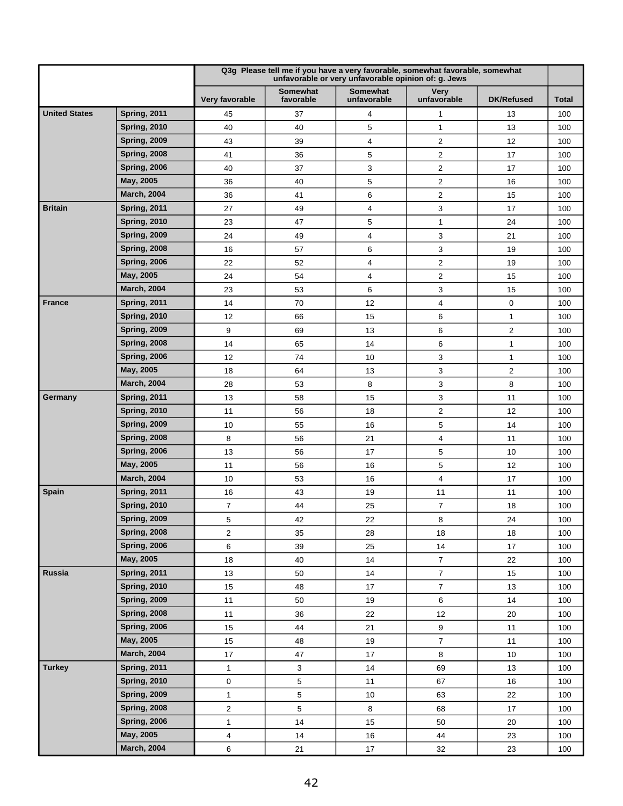|                      |                     |                         |                              | Q3g Please tell me if you have a very favorable, somewhat favorable, somewhat<br>unfavorable or very unfavorable opinion of: g. Jews |                            |                   |              |
|----------------------|---------------------|-------------------------|------------------------------|--------------------------------------------------------------------------------------------------------------------------------------|----------------------------|-------------------|--------------|
|                      |                     | Very favorable          | <b>Somewhat</b><br>favorable | Somewhat<br>unfavorable                                                                                                              | <b>Very</b><br>unfavorable | <b>DK/Refused</b> | <b>Total</b> |
| <b>United States</b> | <b>Spring, 2011</b> | 45                      | 37                           | 4                                                                                                                                    | 1                          | 13                | 100          |
|                      | <b>Spring, 2010</b> | 40                      | 40                           | 5                                                                                                                                    | 1                          | 13                | 100          |
|                      | <b>Spring, 2009</b> | 43                      | 39                           | 4                                                                                                                                    | 2                          | 12                | 100          |
|                      | <b>Spring, 2008</b> | 41                      | 36                           | 5                                                                                                                                    | $\overline{2}$             | 17                | 100          |
|                      | <b>Spring, 2006</b> | 40                      | 37                           | 3                                                                                                                                    | $\overline{\mathbf{c}}$    | 17                | 100          |
|                      | May, 2005           | 36                      | 40                           | 5                                                                                                                                    | $\overline{2}$             | 16                | 100          |
|                      | <b>March, 2004</b>  | 36                      | 41                           | 6                                                                                                                                    | $\overline{2}$             | 15                | 100          |
| <b>Britain</b>       | <b>Spring, 2011</b> | 27                      | 49                           | 4                                                                                                                                    | 3                          | 17                | 100          |
|                      | <b>Spring, 2010</b> | 23                      | 47                           | 5                                                                                                                                    | 1                          | 24                | 100          |
|                      | <b>Spring, 2009</b> | 24                      | 49                           | 4                                                                                                                                    | 3                          | 21                | 100          |
|                      | <b>Spring, 2008</b> | 16                      | 57                           | 6                                                                                                                                    | 3                          | 19                | 100          |
|                      | <b>Spring, 2006</b> | 22                      | 52                           | 4                                                                                                                                    | $\overline{c}$             | 19                | 100          |
|                      | May, 2005           | 24                      | 54                           | 4                                                                                                                                    | $\overline{c}$             | 15                | 100          |
|                      | <b>March, 2004</b>  | 23                      | 53                           | 6                                                                                                                                    | 3                          | 15                | 100          |
| <b>France</b>        | <b>Spring, 2011</b> | 14                      | 70                           | 12                                                                                                                                   | 4                          | $\mathbf 0$       | 100          |
|                      | <b>Spring, 2010</b> | 12                      | 66                           | 15                                                                                                                                   | 6                          | 1                 | 100          |
|                      | <b>Spring, 2009</b> | 9                       | 69                           | 13                                                                                                                                   | 6                          | $\overline{c}$    | 100          |
|                      | <b>Spring, 2008</b> | 14                      | 65                           | 14                                                                                                                                   | 6                          | $\mathbf{1}$      | 100          |
|                      | <b>Spring, 2006</b> | 12                      | 74                           | 10                                                                                                                                   | 3                          | 1                 | 100          |
|                      | May, 2005           | 18                      | 64                           | 13                                                                                                                                   | 3                          | 2                 | 100          |
|                      | <b>March, 2004</b>  | 28                      | 53                           | 8                                                                                                                                    | 3                          | 8                 | 100          |
| Germany              | <b>Spring, 2011</b> | 13                      | 58                           | 15                                                                                                                                   | 3                          | 11                | 100          |
|                      | <b>Spring, 2010</b> | 11                      | 56                           | 18                                                                                                                                   | $\overline{\mathbf{c}}$    | 12                | 100          |
|                      | <b>Spring, 2009</b> | 10                      | 55                           | 16                                                                                                                                   | 5                          | 14                | 100          |
|                      | <b>Spring, 2008</b> | 8                       | 56                           | 21                                                                                                                                   | 4                          | 11                | 100          |
|                      | <b>Spring, 2006</b> | 13                      | 56                           | 17                                                                                                                                   | 5                          | 10                | 100          |
|                      | May, 2005           | 11                      | 56                           | 16                                                                                                                                   | 5                          | 12                | 100          |
|                      | <b>March, 2004</b>  | 10                      | 53                           | 16                                                                                                                                   | $\overline{\mathbf{4}}$    | 17                | 100          |
| <b>Spain</b>         | <b>Spring, 2011</b> | 16                      | 43                           | 19                                                                                                                                   | 11                         | 11                | 100          |
|                      | <b>Spring, 2010</b> | 7                       | 44                           | 25                                                                                                                                   | $\overline{7}$             | 18                | 100          |
|                      | <b>Spring, 2009</b> | 5                       | 42                           | 22                                                                                                                                   | 8                          | 24                | 100          |
|                      | <b>Spring, 2008</b> | $\overline{2}$          | 35                           | 28                                                                                                                                   | 18                         | 18                | 100          |
|                      | <b>Spring, 2006</b> | 6                       | 39                           | 25                                                                                                                                   | 14                         | 17                | 100          |
|                      | May, 2005           | 18                      | 40                           | 14                                                                                                                                   | $\overline{7}$             | 22                | 100          |
| Russia               | <b>Spring, 2011</b> | 13                      | 50                           | 14                                                                                                                                   | $\overline{7}$             | 15                | 100          |
|                      | <b>Spring, 2010</b> | 15                      | 48                           | 17                                                                                                                                   | $\overline{7}$             | 13                | 100          |
|                      | <b>Spring, 2009</b> | 11                      | 50                           | 19                                                                                                                                   | 6                          | 14                | 100          |
|                      | <b>Spring, 2008</b> | 11                      | 36                           | 22                                                                                                                                   | 12                         | 20                | 100          |
|                      | <b>Spring, 2006</b> | 15                      | 44                           | 21                                                                                                                                   | 9                          | 11                | 100          |
|                      | May, 2005           | 15                      | 48                           | 19                                                                                                                                   | $\overline{7}$             | 11                | 100          |
|                      | <b>March, 2004</b>  | 17                      | 47                           | 17                                                                                                                                   | 8                          | 10                | 100          |
| <b>Turkey</b>        | <b>Spring, 2011</b> | $\mathbf{1}$            | $\sqrt{3}$                   | 14                                                                                                                                   | 69                         | 13                | 100          |
|                      | <b>Spring, 2010</b> | 0                       | $\overline{5}$               | 11                                                                                                                                   | 67                         | 16                | 100          |
|                      | <b>Spring, 2009</b> | 1                       | 5                            | 10                                                                                                                                   | 63                         | 22                | 100          |
|                      | <b>Spring, 2008</b> | $\overline{c}$          | 5                            | 8                                                                                                                                    | 68                         | 17                | 100          |
|                      | <b>Spring, 2006</b> | $\mathbf{1}$            | 14                           | 15                                                                                                                                   | 50                         | 20                | 100          |
|                      | May, 2005           | $\overline{\mathbf{4}}$ | 14                           | $16\,$                                                                                                                               | 44                         | 23                | 100          |
|                      | <b>March, 2004</b>  | 6                       | 21                           | $17\,$                                                                                                                               | 32                         | 23                | 100          |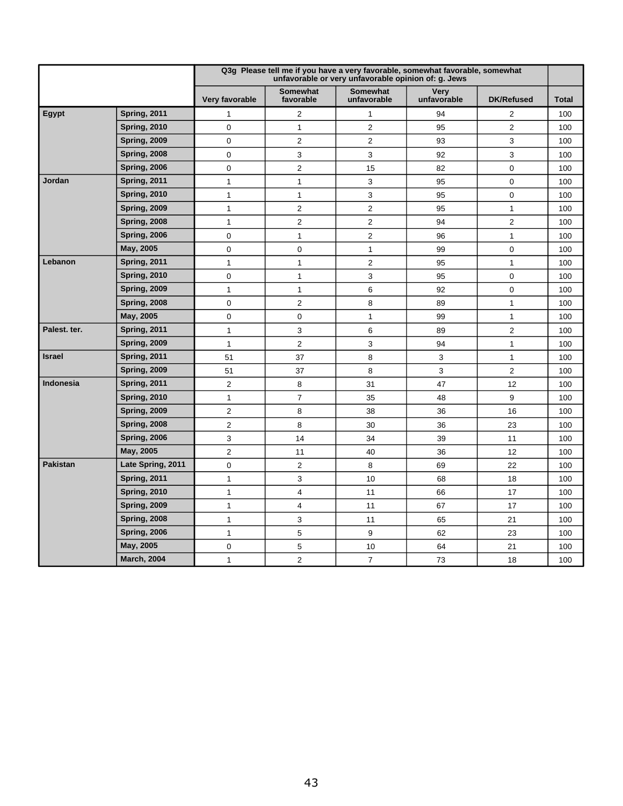|                 |                     |                |                              | Q3g Please tell me if you have a very favorable, somewhat favorable, somewhat<br>unfavorable or very unfavorable opinion of: g. Jews |                            |                   |              |
|-----------------|---------------------|----------------|------------------------------|--------------------------------------------------------------------------------------------------------------------------------------|----------------------------|-------------------|--------------|
|                 |                     | Very favorable | <b>Somewhat</b><br>favorable | <b>Somewhat</b><br>unfavorable                                                                                                       | <b>Very</b><br>unfavorable | <b>DK/Refused</b> | <b>Total</b> |
| <b>Egypt</b>    | <b>Spring, 2011</b> | $\mathbf{1}$   | $\overline{2}$               | $\mathbf{1}$                                                                                                                         | 94                         | $\overline{2}$    | 100          |
|                 | <b>Spring, 2010</b> | $\mathbf 0$    | $\mathbf{1}$                 | $\overline{2}$                                                                                                                       | 95                         | $\overline{2}$    | 100          |
|                 | <b>Spring, 2009</b> | $\mathbf 0$    | $\overline{2}$               | $\overline{2}$                                                                                                                       | 93                         | 3                 | 100          |
|                 | <b>Spring, 2008</b> | $\mathbf 0$    | 3                            | 3                                                                                                                                    | 92                         | 3                 | 100          |
|                 | <b>Spring, 2006</b> | 0              | $\overline{2}$               | 15                                                                                                                                   | 82                         | $\mathbf 0$       | 100          |
| Jordan          | <b>Spring, 2011</b> | $\mathbf{1}$   | $\mathbf{1}$                 | 3                                                                                                                                    | 95                         | $\mathbf 0$       | 100          |
|                 | <b>Spring, 2010</b> | $\mathbf{1}$   | $\mathbf{1}$                 | 3                                                                                                                                    | 95                         | $\mathbf 0$       | 100          |
|                 | <b>Spring, 2009</b> | $\mathbf{1}$   | $\overline{2}$               | $\overline{2}$                                                                                                                       | 95                         | $\mathbf{1}$      | 100          |
|                 | <b>Spring, 2008</b> | $\mathbf{1}$   | $\overline{2}$               | $\overline{2}$                                                                                                                       | 94                         | $\overline{2}$    | 100          |
|                 | <b>Spring, 2006</b> | 0              | $\mathbf{1}$                 | $\overline{2}$                                                                                                                       | 96                         | $\mathbf{1}$      | 100          |
|                 | May, 2005           | 0              | $\mathbf 0$                  | $\mathbf{1}$                                                                                                                         | 99                         | $\mathbf 0$       | 100          |
| Lebanon         | <b>Spring, 2011</b> | $\mathbf{1}$   | $\mathbf{1}$                 | $\overline{2}$                                                                                                                       | 95                         | 1                 | 100          |
|                 | <b>Spring, 2010</b> | 0              | $\mathbf{1}$                 | 3                                                                                                                                    | 95                         | 0                 | 100          |
|                 | <b>Spring, 2009</b> | $\mathbf{1}$   | $\mathbf{1}$                 | 6                                                                                                                                    | 92                         | $\mathbf 0$       | 100          |
|                 | <b>Spring, 2008</b> | 0              | $\overline{2}$               | 8                                                                                                                                    | 89                         | $\mathbf{1}$      | 100          |
|                 | May, 2005           | 0              | $\mathbf 0$                  | $\mathbf{1}$                                                                                                                         | 99                         | $\mathbf{1}$      | 100          |
| Palest. ter.    | <b>Spring, 2011</b> | $\mathbf{1}$   | 3                            | 6                                                                                                                                    | 89                         | 2                 | 100          |
|                 | <b>Spring, 2009</b> | $\mathbf{1}$   | $\overline{2}$               | 3                                                                                                                                    | 94                         | $\mathbf{1}$      | 100          |
| <b>Israel</b>   | <b>Spring, 2011</b> | 51             | 37                           | 8                                                                                                                                    | 3                          | $\mathbf{1}$      | 100          |
|                 | <b>Spring, 2009</b> | 51             | 37                           | 8                                                                                                                                    | 3                          | $\overline{2}$    | 100          |
| Indonesia       | <b>Spring, 2011</b> | $\overline{2}$ | 8                            | 31                                                                                                                                   | 47                         | 12                | 100          |
|                 | <b>Spring, 2010</b> | 1              | $\overline{7}$               | 35                                                                                                                                   | 48                         | 9                 | 100          |
|                 | <b>Spring, 2009</b> | $\overline{2}$ | 8                            | 38                                                                                                                                   | 36                         | 16                | 100          |
|                 | <b>Spring, 2008</b> | 2              | 8                            | 30                                                                                                                                   | 36                         | 23                | 100          |
|                 | <b>Spring, 2006</b> | 3              | 14                           | 34                                                                                                                                   | 39                         | 11                | 100          |
|                 | May, 2005           | $\overline{2}$ | 11                           | 40                                                                                                                                   | 36                         | 12                | 100          |
| <b>Pakistan</b> | Late Spring, 2011   | 0              | $\overline{2}$               | 8                                                                                                                                    | 69                         | 22                | 100          |
|                 | <b>Spring, 2011</b> | 1              | 3                            | 10                                                                                                                                   | 68                         | 18                | 100          |
|                 | <b>Spring, 2010</b> | 1              | $\overline{4}$               | 11                                                                                                                                   | 66                         | 17                | 100          |
|                 | <b>Spring, 2009</b> | 1              | 4                            | 11                                                                                                                                   | 67                         | 17                | 100          |
|                 | <b>Spring, 2008</b> | 1              | 3                            | 11                                                                                                                                   | 65                         | 21                | 100          |
|                 | <b>Spring, 2006</b> | 1              | 5                            | 9                                                                                                                                    | 62                         | 23                | 100          |
|                 | May, 2005           | 0              | 5                            | 10                                                                                                                                   | 64                         | 21                | 100          |
|                 | <b>March, 2004</b>  | 1              | $\overline{2}$               | $\overline{7}$                                                                                                                       | 73                         | 18                | 100          |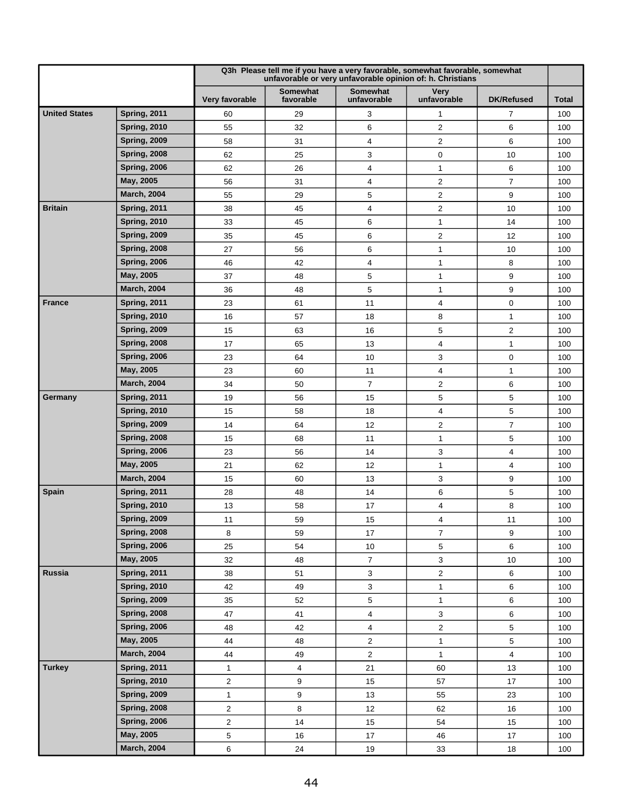|                      |                     |                |                              | Q3h Please tell me if you have a very favorable, somewhat favorable, somewhat<br>unfavorable or very unfavorable opinion of: h. Christians |                            |                         |              |
|----------------------|---------------------|----------------|------------------------------|--------------------------------------------------------------------------------------------------------------------------------------------|----------------------------|-------------------------|--------------|
|                      |                     | Very favorable | <b>Somewhat</b><br>favorable | <b>Somewhat</b><br>unfavorable                                                                                                             | <b>Very</b><br>unfavorable | <b>DK/Refused</b>       | <b>Total</b> |
| <b>United States</b> | Spring, 2011        | 60             | 29                           | 3                                                                                                                                          | 1                          | 7                       | 100          |
|                      | <b>Spring, 2010</b> | 55             | 32                           | 6                                                                                                                                          | 2                          | 6                       | 100          |
|                      | <b>Spring, 2009</b> | 58             | 31                           | 4                                                                                                                                          | $\overline{2}$             | 6                       | 100          |
|                      | <b>Spring, 2008</b> | 62             | 25                           | 3                                                                                                                                          | 0                          | 10                      | 100          |
|                      | <b>Spring, 2006</b> | 62             | 26                           | 4                                                                                                                                          | 1                          | 6                       | 100          |
|                      | May, 2005           | 56             | 31                           | 4                                                                                                                                          | 2                          | $\overline{7}$          | 100          |
|                      | <b>March, 2004</b>  | 55             | 29                           | 5                                                                                                                                          | 2                          | 9                       | 100          |
| <b>Britain</b>       | <b>Spring, 2011</b> | 38             | 45                           | 4                                                                                                                                          | 2                          | 10                      | 100          |
|                      | <b>Spring, 2010</b> | 33             | 45                           | 6                                                                                                                                          | 1                          | 14                      | 100          |
|                      | <b>Spring, 2009</b> | 35             | 45                           | 6                                                                                                                                          | 2                          | 12                      | 100          |
|                      | <b>Spring, 2008</b> | 27             | 56                           | 6                                                                                                                                          | 1                          | 10                      | 100          |
|                      | <b>Spring, 2006</b> | 46             | 42                           | 4                                                                                                                                          | 1                          | 8                       | 100          |
|                      | May, 2005           | 37             | 48                           | 5                                                                                                                                          | 1                          | 9                       | 100          |
|                      | <b>March, 2004</b>  | 36             | 48                           | 5                                                                                                                                          | 1                          | 9                       | 100          |
| <b>France</b>        | <b>Spring, 2011</b> | 23             | 61                           | 11                                                                                                                                         | 4                          | 0                       | 100          |
|                      | <b>Spring, 2010</b> | 16             | 57                           | 18                                                                                                                                         | 8                          | $\mathbf{1}$            | 100          |
|                      | <b>Spring, 2009</b> | 15             | 63                           | 16                                                                                                                                         | 5                          | $\mathbf{2}$            | 100          |
|                      | <b>Spring, 2008</b> | 17             | 65                           | 13                                                                                                                                         | 4                          | $\mathbf{1}$            | 100          |
|                      | <b>Spring, 2006</b> | 23             | 64                           | 10                                                                                                                                         | 3                          | $\mathbf 0$             | 100          |
|                      | May, 2005           | 23             | 60                           | 11                                                                                                                                         | 4                          | 1                       | 100          |
|                      | <b>March, 2004</b>  | 34             | 50                           | $\overline{7}$                                                                                                                             | 2                          | 6                       | 100          |
| Germany              | <b>Spring, 2011</b> | 19             | 56                           | 15                                                                                                                                         | 5                          | 5                       | 100          |
|                      | <b>Spring, 2010</b> | 15             | 58                           | 18                                                                                                                                         | 4                          | 5                       | 100          |
|                      | <b>Spring, 2009</b> | 14             | 64                           | 12                                                                                                                                         | $\overline{c}$             | $\overline{7}$          | 100          |
|                      | <b>Spring, 2008</b> | 15             | 68                           | 11                                                                                                                                         | $\mathbf{1}$               | 5                       | 100          |
|                      | <b>Spring, 2006</b> | 23             | 56                           | 14                                                                                                                                         | 3                          | $\overline{\mathbf{4}}$ | 100          |
|                      | May, 2005           | 21             | 62                           | 12                                                                                                                                         | 1                          | 4                       | 100          |
|                      | <b>March, 2004</b>  | 15             | 60                           | 13                                                                                                                                         | 3                          | 9                       | 100          |
| <b>Spain</b>         | <b>Spring, 2011</b> | 28             | 48                           | 14                                                                                                                                         | 6                          | 5                       | 100          |
|                      | <b>Spring, 2010</b> | 13             | 58                           | 17                                                                                                                                         | 4                          | 8                       | 100          |
|                      | <b>Spring, 2009</b> | 11             | 59                           | 15                                                                                                                                         | 4                          | 11                      | 100          |
|                      | <b>Spring, 2008</b> | 8              | 59                           | 17                                                                                                                                         | $\overline{7}$             | 9                       | 100          |
|                      | <b>Spring, 2006</b> | 25             | 54                           | $10$                                                                                                                                       | 5                          | 6                       | 100          |
|                      | May, 2005           | 32             | 48                           | $\boldsymbol{7}$                                                                                                                           | 3                          | 10                      | 100          |
| Russia               | <b>Spring, 2011</b> | 38             | 51                           | 3                                                                                                                                          | $\overline{\mathbf{c}}$    | 6                       | 100          |
|                      | <b>Spring, 2010</b> | 42             | 49                           | 3                                                                                                                                          | $\mathbf{1}$               | 6                       | 100          |
|                      | <b>Spring, 2009</b> | 35             | 52                           | $\sqrt{5}$                                                                                                                                 | $\mathbf{1}$               | 6                       | 100          |
|                      | <b>Spring, 2008</b> | 47             | 41                           | $\overline{\mathbf{4}}$                                                                                                                    | 3                          | 6                       | 100          |
|                      | <b>Spring, 2006</b> | 48             | 42                           | 4                                                                                                                                          | $\overline{c}$             | 5                       | 100          |
|                      | May, 2005           | 44             | 48                           | $\overline{c}$                                                                                                                             | $\mathbf{1}$               | 5                       | 100          |
|                      | <b>March, 2004</b>  | 44             | 49                           | $\overline{c}$                                                                                                                             | $\mathbf{1}$               | 4                       | 100          |
| <b>Turkey</b>        | <b>Spring, 2011</b> | $\mathbf{1}$   | $\overline{4}$               | 21                                                                                                                                         | 60                         | 13                      | 100          |
|                      | <b>Spring, 2010</b> | 2              | 9                            | 15                                                                                                                                         | 57                         | 17                      | 100          |
|                      | <b>Spring, 2009</b> | $\mathbf{1}$   | 9                            | 13                                                                                                                                         | 55                         | 23                      | 100          |
|                      | <b>Spring, 2008</b> | $\overline{c}$ | 8                            | 12                                                                                                                                         | 62                         | 16                      | 100          |
|                      | <b>Spring, 2006</b> | $\overline{c}$ | 14                           | 15                                                                                                                                         | 54                         | 15                      | 100          |
|                      | May, 2005           | 5              | $16\,$                       | $17\,$                                                                                                                                     | 46                         | 17                      | 100          |
|                      | <b>March, 2004</b>  | 6              | 24                           | 19                                                                                                                                         | 33                         | 18                      | 100          |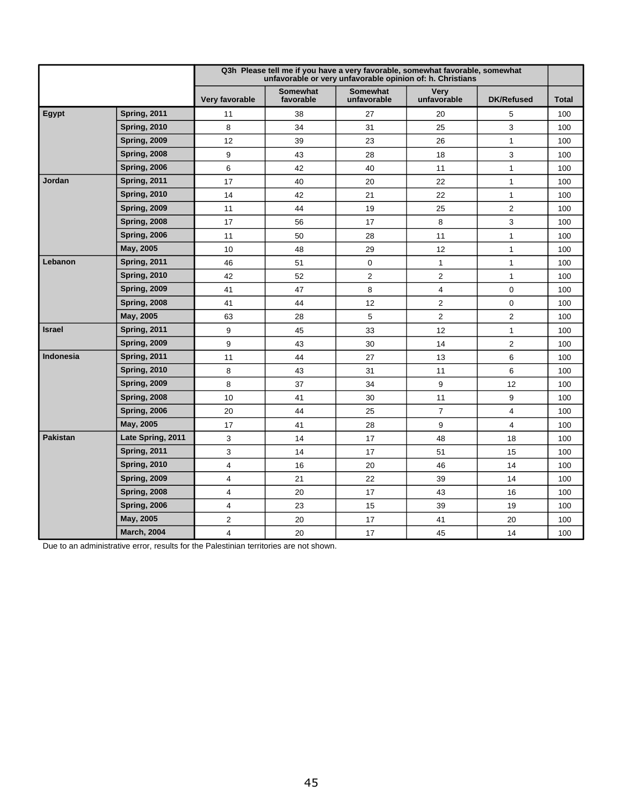|                 |                     |                |                              | Q3h Please tell me if you have a very favorable, somewhat favorable, somewhat<br>unfavorable or very unfavorable opinion of: h. Christians |                            |                   |              |
|-----------------|---------------------|----------------|------------------------------|--------------------------------------------------------------------------------------------------------------------------------------------|----------------------------|-------------------|--------------|
|                 |                     | Very favorable | <b>Somewhat</b><br>favorable | <b>Somewhat</b><br>unfavorable                                                                                                             | <b>Very</b><br>unfavorable | <b>DK/Refused</b> | <b>Total</b> |
| Egypt           | <b>Spring, 2011</b> | 11             | 38                           | 27                                                                                                                                         | 20                         | 5                 | 100          |
|                 | <b>Spring, 2010</b> | 8              | 34                           | 31                                                                                                                                         | 25                         | 3                 | 100          |
|                 | Spring, 2009        | 12             | 39                           | 23                                                                                                                                         | 26                         | $\mathbf{1}$      | 100          |
|                 | <b>Spring, 2008</b> | 9              | 43                           | 28                                                                                                                                         | 18                         | 3                 | 100          |
|                 | <b>Spring, 2006</b> | 6              | 42                           | 40                                                                                                                                         | 11                         | $\mathbf{1}$      | 100          |
| Jordan          | <b>Spring, 2011</b> | 17             | 40                           | 20                                                                                                                                         | 22                         | $\mathbf{1}$      | 100          |
|                 | <b>Spring, 2010</b> | 14             | 42                           | 21                                                                                                                                         | 22                         | $\mathbf{1}$      | 100          |
|                 | <b>Spring, 2009</b> | 11             | 44                           | 19                                                                                                                                         | 25                         | $\overline{2}$    | 100          |
|                 | <b>Spring, 2008</b> | 17             | 56                           | 17                                                                                                                                         | 8                          | 3                 | 100          |
|                 | <b>Spring, 2006</b> | 11             | 50                           | 28                                                                                                                                         | 11                         | $\mathbf{1}$      | 100          |
|                 | May, 2005           | 10             | 48                           | 29                                                                                                                                         | 12                         | $\mathbf{1}$      | 100          |
| Lebanon         | <b>Spring, 2011</b> | 46             | 51                           | $\mathbf 0$                                                                                                                                | $\mathbf{1}$               | $\mathbf{1}$      | 100          |
|                 | <b>Spring, 2010</b> | 42             | 52                           | 2                                                                                                                                          | $\overline{2}$             | $\mathbf{1}$      | 100          |
|                 | <b>Spring, 2009</b> | 41             | 47                           | 8                                                                                                                                          | $\overline{4}$             | $\mathbf 0$       | 100          |
|                 | <b>Spring, 2008</b> | 41             | 44                           | 12                                                                                                                                         | $\overline{2}$             | $\mathbf 0$       | 100          |
|                 | May, 2005           | 63             | 28                           | 5                                                                                                                                          | $\overline{2}$             | $\overline{2}$    | 100          |
| <b>Israel</b>   | <b>Spring, 2011</b> | 9              | 45                           | 33                                                                                                                                         | 12                         | $\mathbf{1}$      | 100          |
|                 | <b>Spring, 2009</b> | 9              | 43                           | 30                                                                                                                                         | 14                         | $\overline{2}$    | 100          |
| Indonesia       | <b>Spring, 2011</b> | 11             | 44                           | 27                                                                                                                                         | 13                         | $6\phantom{1}6$   | 100          |
|                 | <b>Spring, 2010</b> | 8              | 43                           | 31                                                                                                                                         | 11                         | 6                 | 100          |
|                 | <b>Spring, 2009</b> | 8              | 37                           | 34                                                                                                                                         | 9                          | 12                | 100          |
|                 | <b>Spring, 2008</b> | 10             | 41                           | 30                                                                                                                                         | 11                         | 9                 | 100          |
|                 | <b>Spring, 2006</b> | 20             | 44                           | 25                                                                                                                                         | $\overline{7}$             | $\overline{4}$    | 100          |
|                 | May, 2005           | 17             | 41                           | 28                                                                                                                                         | 9                          | $\overline{4}$    | 100          |
| <b>Pakistan</b> | Late Spring, 2011   | 3              | 14                           | 17                                                                                                                                         | 48                         | 18                | 100          |
|                 | <b>Spring, 2011</b> | 3              | 14                           | 17                                                                                                                                         | 51                         | 15                | 100          |
|                 | <b>Spring, 2010</b> | 4              | 16                           | 20                                                                                                                                         | 46                         | 14                | 100          |
|                 | <b>Spring, 2009</b> | 4              | 21                           | 22                                                                                                                                         | 39                         | 14                | 100          |
|                 | <b>Spring, 2008</b> | 4              | 20                           | 17                                                                                                                                         | 43                         | 16                | 100          |
|                 | <b>Spring, 2006</b> | 4              | 23                           | 15                                                                                                                                         | 39                         | 19                | 100          |
|                 | May, 2005           | 2              | 20                           | 17                                                                                                                                         | 41                         | 20                | 100          |
|                 | <b>March, 2004</b>  | 4              | 20                           | 17                                                                                                                                         | 45                         | 14                | 100          |

Due to an administrative error, results for the Palestinian territories are not shown.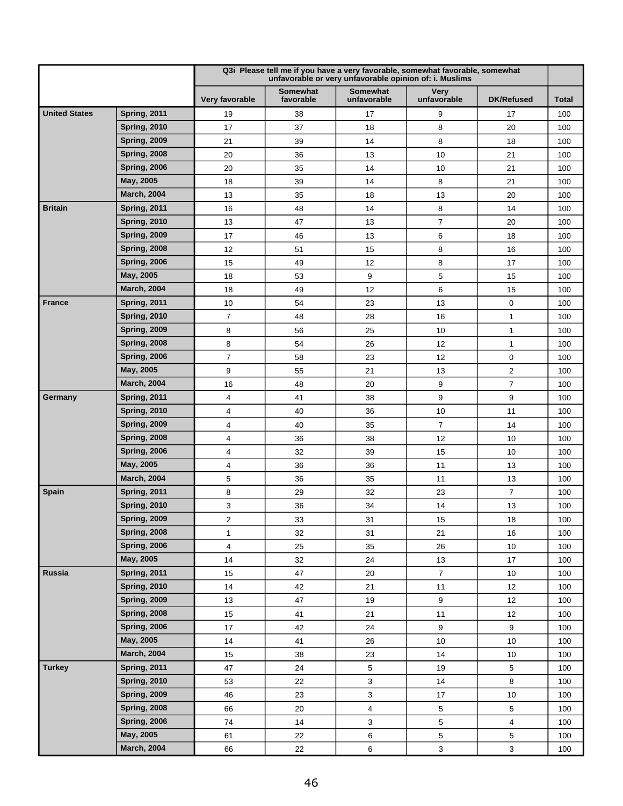|                      |                     |                |                              | Q3i Please tell me if you have a very favorable, somewhat favorable, somewhat<br>unfavorable or very unfavorable opinion of: i. Muslims |                            |                   |              |
|----------------------|---------------------|----------------|------------------------------|-----------------------------------------------------------------------------------------------------------------------------------------|----------------------------|-------------------|--------------|
|                      |                     | Very favorable | <b>Somewhat</b><br>favorable | <b>Somewhat</b><br>unfavorable                                                                                                          | <b>Very</b><br>unfavorable | <b>DK/Refused</b> | <b>Total</b> |
| <b>United States</b> | <b>Spring, 2011</b> | 19             | 38                           | 17                                                                                                                                      | 9                          | 17                | 100          |
|                      | <b>Spring, 2010</b> | 17             | 37                           | 18                                                                                                                                      | 8                          | 20                | 100          |
|                      | <b>Spring, 2009</b> | 21             | 39                           | 14                                                                                                                                      | 8                          | 18                | 100          |
|                      | <b>Spring, 2008</b> | 20             | 36                           | 13                                                                                                                                      | 10                         | 21                | 100          |
|                      | <b>Spring, 2006</b> | 20             | 35                           | 14                                                                                                                                      | 10                         | 21                | 100          |
|                      | May, 2005           | 18             | 39                           | 14                                                                                                                                      | 8                          | 21                | 100          |
|                      | <b>March, 2004</b>  | 13             | 35                           | 18                                                                                                                                      | 13                         | 20                | 100          |
| <b>Britain</b>       | <b>Spring, 2011</b> | 16             | 48                           | 14                                                                                                                                      | 8                          | 14                | 100          |
|                      | <b>Spring, 2010</b> | 13             | 47                           | 13                                                                                                                                      | 7                          | 20                | 100          |
|                      | <b>Spring, 2009</b> | 17             | 46                           | 13                                                                                                                                      | 6                          | 18                | 100          |
|                      | <b>Spring, 2008</b> | 12             | 51                           | 15                                                                                                                                      | 8                          | 16                | 100          |
|                      | <b>Spring, 2006</b> | 15             | 49                           | 12                                                                                                                                      | 8                          | 17                | 100          |
|                      | May, 2005           | 18             | 53                           | 9                                                                                                                                       | 5                          | 15                | 100          |
|                      | <b>March, 2004</b>  | 18             | 49                           | 12                                                                                                                                      | 6                          | 15                | 100          |
| <b>France</b>        | <b>Spring, 2011</b> | 10             | 54                           | 23                                                                                                                                      | 13                         | $\mathbf 0$       | 100          |
|                      | <b>Spring, 2010</b> | 7              | 48                           | 28                                                                                                                                      | 16                         | 1                 | 100          |
|                      | <b>Spring, 2009</b> | 8              | 56                           | 25                                                                                                                                      | 10                         | 1                 | 100          |
|                      | <b>Spring, 2008</b> | 8              | 54                           | 26                                                                                                                                      | 12                         | $\mathbf{1}$      | 100          |
|                      | <b>Spring, 2006</b> | $\overline{7}$ | 58                           | 23                                                                                                                                      | 12                         | $\mathbf 0$       | 100          |
|                      | May, 2005           | 9              | 55                           | 21                                                                                                                                      | 13                         | $\sqrt{2}$        | 100          |
|                      | <b>March, 2004</b>  | 16             | 48                           | 20                                                                                                                                      | 9                          | $\overline{7}$    | 100          |
| Germany              | <b>Spring, 2011</b> | 4              | 41                           | 38                                                                                                                                      | 9                          | 9                 | 100          |
|                      | <b>Spring, 2010</b> | 4              | 40                           | 36                                                                                                                                      | 10                         | 11                | 100          |
|                      | <b>Spring, 2009</b> | 4              | 40                           | 35                                                                                                                                      | $\overline{7}$             | 14                | 100          |
|                      | <b>Spring, 2008</b> | 4              | 36                           | 38                                                                                                                                      | 12                         | 10                | 100          |
|                      | <b>Spring, 2006</b> | 4              | 32                           | 39                                                                                                                                      | 15                         | 10                | 100          |
|                      | May, 2005           | 4              | 36                           | 36                                                                                                                                      | 11                         | 13                | 100          |
|                      | <b>March, 2004</b>  | 5              | 36                           | 35                                                                                                                                      | 11                         | 13                | 100          |
| <b>Spain</b>         | <b>Spring, 2011</b> | 8              | 29                           | 32                                                                                                                                      | 23                         | $\overline{7}$    | 100          |
|                      | <b>Spring, 2010</b> | 3              | 36                           | 34                                                                                                                                      | 14                         | 13                | 100          |
|                      | <b>Spring, 2009</b> | 2              | 33                           | 31                                                                                                                                      | 15                         | 18                | 100          |
|                      | <b>Spring, 2008</b> | 1              | 32                           | 31                                                                                                                                      | 21                         | 16                | 100          |
|                      | <b>Spring, 2006</b> | 4              | 25                           | 35                                                                                                                                      | 26                         | 10                | 100          |
|                      | May, 2005           | 14             | 32                           | 24                                                                                                                                      | 13                         | 17                | 100          |
| Russia               | <b>Spring, 2011</b> | 15             | 47                           | 20                                                                                                                                      | $\overline{7}$             | 10                | 100          |
|                      | <b>Spring, 2010</b> | 14             | 42                           | 21                                                                                                                                      | 11                         | 12                | 100          |
|                      | <b>Spring, 2009</b> | 13             | 47                           | 19                                                                                                                                      | 9                          | 12                | 100          |
|                      | <b>Spring, 2008</b> | 15             | 41                           | 21                                                                                                                                      | 11                         | 12                | 100          |
|                      | <b>Spring, 2006</b> | 17             | 42                           | 24                                                                                                                                      | 9                          | 9                 | 100          |
|                      | May, 2005           | 14             | 41                           | 26                                                                                                                                      | $10$                       | 10                | 100          |
|                      | <b>March, 2004</b>  | 15             | 38                           | 23                                                                                                                                      | 14                         | 10                | 100          |
| <b>Turkey</b>        | <b>Spring, 2011</b> | 47             | 24                           | 5                                                                                                                                       | 19                         | $\overline{5}$    | 100          |
|                      | <b>Spring, 2010</b> | 53             | 22                           | 3                                                                                                                                       | 14                         | 8                 | 100          |
|                      | <b>Spring, 2009</b> | 46             | 23                           | 3                                                                                                                                       | 17                         | 10                | 100          |
|                      | <b>Spring, 2008</b> | 66             | 20                           | 4                                                                                                                                       | 5                          | 5                 | 100          |
|                      | <b>Spring, 2006</b> | 74             | 14                           | 3                                                                                                                                       | 5                          | $\overline{4}$    | 100          |
|                      | May, 2005           | 61             | 22                           | 6                                                                                                                                       | 5                          | 5                 | 100          |
|                      | <b>March, 2004</b>  | 66             | 22                           | 6                                                                                                                                       | $\mathbf{3}$               | 3                 | 100          |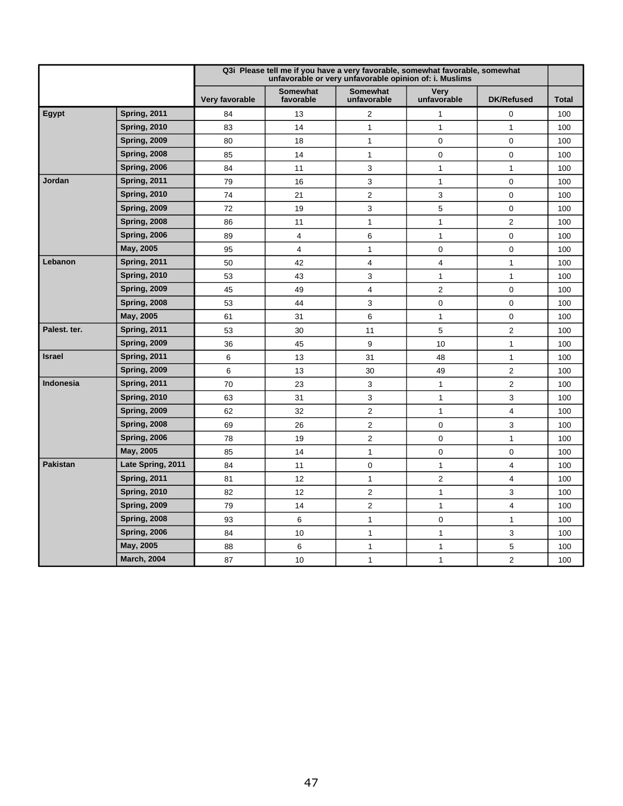|                  |                     |                |                              | Q3i Please tell me if you have a very favorable, somewhat favorable, somewhat<br>unfavorable or very unfavorable opinion of: i. Muslims |                            |                   |              |
|------------------|---------------------|----------------|------------------------------|-----------------------------------------------------------------------------------------------------------------------------------------|----------------------------|-------------------|--------------|
|                  |                     | Very favorable | <b>Somewhat</b><br>favorable | <b>Somewhat</b><br>unfavorable                                                                                                          | <b>Very</b><br>unfavorable | <b>DK/Refused</b> | <b>Total</b> |
| <b>Egypt</b>     | <b>Spring, 2011</b> | 84             | 13                           | 2                                                                                                                                       | 1                          | $\mathbf 0$       | 100          |
|                  | <b>Spring, 2010</b> | 83             | 14                           | $\mathbf 1$                                                                                                                             | $\mathbf{1}$               | $\mathbf{1}$      | 100          |
|                  | <b>Spring, 2009</b> | 80             | 18                           | $\mathbf{1}$                                                                                                                            | 0                          | $\mathbf 0$       | 100          |
|                  | <b>Spring, 2008</b> | 85             | 14                           | $\mathbf 1$                                                                                                                             | $\mathbf 0$                | $\mathbf 0$       | 100          |
|                  | <b>Spring, 2006</b> | 84             | 11                           | 3                                                                                                                                       | 1                          | $\mathbf{1}$      | 100          |
| Jordan           | <b>Spring, 2011</b> | 79             | 16                           | 3                                                                                                                                       | $\mathbf{1}$               | $\mathbf 0$       | 100          |
|                  | <b>Spring, 2010</b> | 74             | 21                           | $\overline{2}$                                                                                                                          | 3                          | $\mathbf 0$       | 100          |
|                  | <b>Spring, 2009</b> | 72             | 19                           | 3                                                                                                                                       | 5                          | $\mathbf 0$       | 100          |
|                  | <b>Spring, 2008</b> | 86             | 11                           | $\mathbf 1$                                                                                                                             | 1                          | $\overline{2}$    | 100          |
|                  | <b>Spring, 2006</b> | 89             | 4                            | 6                                                                                                                                       | $\mathbf{1}$               | $\mathbf 0$       | 100          |
|                  | May, 2005           | 95             | 4                            | $\mathbf{1}$                                                                                                                            | $\mathbf 0$                | $\mathbf 0$       | 100          |
| Lebanon          | <b>Spring, 2011</b> | 50             | 42                           | 4                                                                                                                                       | 4                          | $\mathbf 1$       | 100          |
|                  | <b>Spring, 2010</b> | 53             | 43                           | 3                                                                                                                                       | 1                          | $\mathbf{1}$      | 100          |
|                  | <b>Spring, 2009</b> | 45             | 49                           | 4                                                                                                                                       | $\overline{c}$             | $\mathbf 0$       | 100          |
|                  | <b>Spring, 2008</b> | 53             | 44                           | 3                                                                                                                                       | 0                          | $\mathbf 0$       | 100          |
|                  | May, 2005           | 61             | 31                           | 6                                                                                                                                       | $\mathbf{1}$               | $\mathbf 0$       | 100          |
| Palest. ter.     | <b>Spring, 2011</b> | 53             | 30                           | 11                                                                                                                                      | 5                          | $\overline{2}$    | 100          |
|                  | <b>Spring, 2009</b> | 36             | 45                           | 9                                                                                                                                       | 10                         | 1                 | 100          |
| <b>Israel</b>    | <b>Spring, 2011</b> | 6              | 13                           | 31                                                                                                                                      | 48                         | $\mathbf{1}$      | 100          |
|                  | <b>Spring, 2009</b> | 6              | 13                           | 30                                                                                                                                      | 49                         | $\overline{2}$    | 100          |
| <b>Indonesia</b> | <b>Spring, 2011</b> | 70             | 23                           | 3                                                                                                                                       | $\mathbf{1}$               | $\overline{2}$    | 100          |
|                  | <b>Spring, 2010</b> | 63             | 31                           | 3                                                                                                                                       | $\mathbf{1}$               | 3                 | 100          |
|                  | <b>Spring, 2009</b> | 62             | 32                           | $\overline{c}$                                                                                                                          | $\mathbf{1}$               | $\overline{4}$    | 100          |
|                  | <b>Spring, 2008</b> | 69             | 26                           | 2                                                                                                                                       | 0                          | 3                 | 100          |
|                  | <b>Spring, 2006</b> | 78             | 19                           | $\overline{c}$                                                                                                                          | 0                          | $\mathbf{1}$      | 100          |
|                  | May, 2005           | 85             | 14                           | $\mathbf{1}$                                                                                                                            | 0                          | $\mathbf 0$       | 100          |
| <b>Pakistan</b>  | Late Spring, 2011   | 84             | 11                           | 0                                                                                                                                       | 1                          | 4                 | 100          |
|                  | <b>Spring, 2011</b> | 81             | 12                           | $\mathbf{1}$                                                                                                                            | $\overline{2}$             | 4                 | 100          |
|                  | <b>Spring, 2010</b> | 82             | 12                           | $\overline{2}$                                                                                                                          | $\mathbf{1}$               | 3                 | 100          |
|                  | <b>Spring, 2009</b> | 79             | 14                           | $\overline{2}$                                                                                                                          | $\mathbf{1}$               | 4                 | 100          |
|                  | <b>Spring, 2008</b> | 93             | 6                            | $\mathbf{1}$                                                                                                                            | $\mathbf 0$                | 1                 | 100          |
|                  | <b>Spring, 2006</b> | 84             | 10                           | $\mathbf{1}$                                                                                                                            | $\mathbf{1}$               | 3                 | 100          |
|                  | May, 2005           | 88             | 6                            | $\mathbf{1}$                                                                                                                            | $\mathbf{1}$               | 5                 | 100          |
|                  | <b>March, 2004</b>  | 87             | 10                           | $\mathbf{1}$                                                                                                                            | $\mathbf{1}$               | $\overline{2}$    | 100          |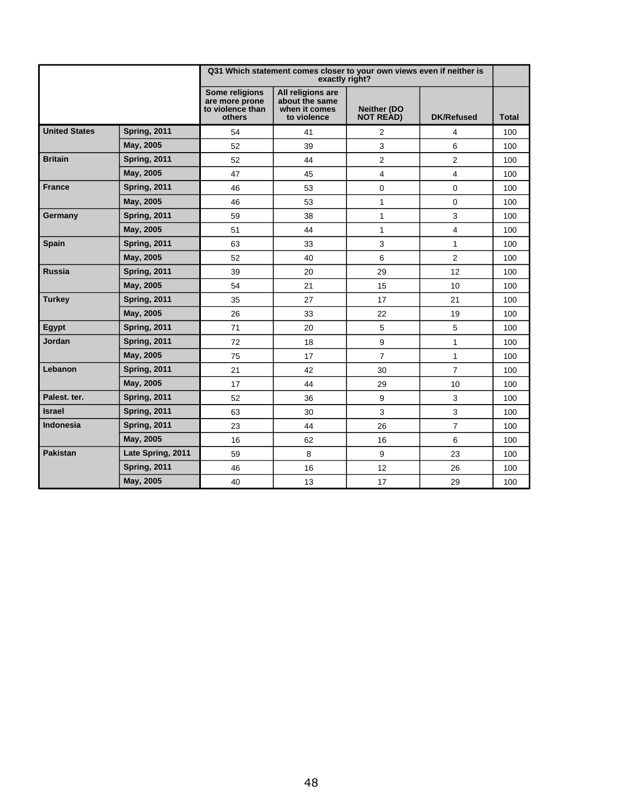|                      |                     |                                                                | Q31 Which statement comes closer to your own views even if neither is<br>exactly right? |                                        |                   |              |
|----------------------|---------------------|----------------------------------------------------------------|-----------------------------------------------------------------------------------------|----------------------------------------|-------------------|--------------|
|                      |                     | Some religions<br>are more prone<br>to violence than<br>others | All religions are<br>about the same<br>when it comes<br>to violence                     | <b>Neither (DO</b><br><b>NOT READ)</b> | <b>DK/Refused</b> | <b>Total</b> |
| <b>United States</b> | <b>Spring, 2011</b> | 54                                                             | 41                                                                                      | 2                                      | 4                 | 100          |
|                      | May, 2005           | 52                                                             | 39                                                                                      | 3                                      | 6                 | 100          |
| <b>Britain</b>       | <b>Spring, 2011</b> | 52                                                             | 44                                                                                      | $\overline{2}$                         | 2                 | 100          |
|                      | May, 2005           | 47                                                             | 45                                                                                      | 4                                      | 4                 | 100          |
| <b>France</b>        | <b>Spring, 2011</b> | 46                                                             | 53                                                                                      | $\pmb{0}$                              | 0                 | 100          |
|                      | May, 2005           | 46                                                             | 53                                                                                      | $\mathbf{1}$                           | 0                 | 100          |
| Germany              | <b>Spring, 2011</b> | 59                                                             | 38                                                                                      | $\mathbf{1}$                           | 3                 | 100          |
|                      | May, 2005           | 51                                                             | 44                                                                                      | $\mathbf{1}$                           | 4                 | 100          |
| <b>Spain</b>         | <b>Spring, 2011</b> | 63                                                             | 33                                                                                      | 3                                      | 1                 | 100          |
|                      | May, 2005           | 52                                                             | 40                                                                                      | 6                                      | $\overline{c}$    | 100          |
| Russia               | <b>Spring, 2011</b> | 39                                                             | 20                                                                                      | 29                                     | 12                | 100          |
|                      | May, 2005           | 54                                                             | 21                                                                                      | 15                                     | 10 <sup>10</sup>  | 100          |
| <b>Turkey</b>        | <b>Spring, 2011</b> | 35                                                             | 27                                                                                      | 17                                     | 21                | 100          |
|                      | May, 2005           | 26                                                             | 33                                                                                      | 22                                     | 19                | 100          |
| Egypt                | <b>Spring, 2011</b> | 71                                                             | 20                                                                                      | 5                                      | 5                 | 100          |
| Jordan               | <b>Spring, 2011</b> | 72                                                             | 18                                                                                      | 9                                      | $\mathbf{1}$      | 100          |
|                      | May, 2005           | 75                                                             | 17                                                                                      | $\overline{7}$                         | $\mathbf{1}$      | 100          |
| Lebanon              | <b>Spring, 2011</b> | 21                                                             | 42                                                                                      | 30                                     | $\overline{7}$    | 100          |
|                      | May, 2005           | 17                                                             | 44                                                                                      | 29                                     | 10 <sup>10</sup>  | 100          |
| Palest. ter.         | <b>Spring, 2011</b> | 52                                                             | 36                                                                                      | 9                                      | 3                 | 100          |
| <b>Israel</b>        | <b>Spring, 2011</b> | 63                                                             | 30                                                                                      | $\mathbf{3}$                           | 3                 | 100          |
| Indonesia            | <b>Spring, 2011</b> | 23                                                             | 44                                                                                      | 26                                     | $\overline{7}$    | 100          |
|                      | May, 2005           | 16                                                             | 62                                                                                      | 16                                     | 6                 | 100          |
| <b>Pakistan</b>      | Late Spring, 2011   | 59                                                             | 8                                                                                       | 9                                      | 23                | 100          |
|                      | <b>Spring, 2011</b> | 46                                                             | 16                                                                                      | 12                                     | 26                | 100          |
|                      | May, 2005           | 40                                                             | 13                                                                                      | 17                                     | 29                | 100          |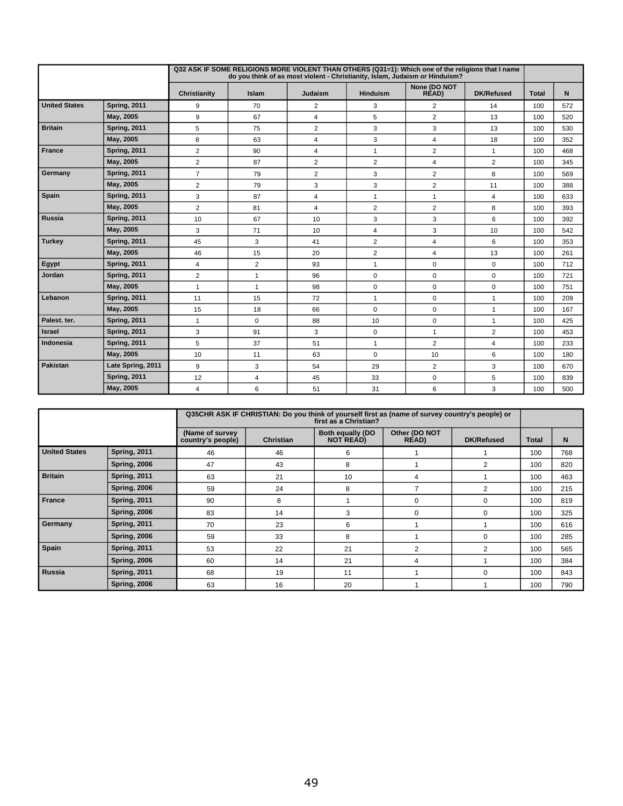|                      |                     |                |                |                | Q32 ASK IF SOME RELIGIONS MORE VIOLENT THAN OTHERS (Q31=1): Which one of the religions that I name<br>do you think of as most violent - Christianity, Islam, Judaism or Hinduism? |                       |                   |              |     |
|----------------------|---------------------|----------------|----------------|----------------|-----------------------------------------------------------------------------------------------------------------------------------------------------------------------------------|-----------------------|-------------------|--------------|-----|
|                      |                     | Christianity   | Islam          | Judaism        | <b>Hinduism</b>                                                                                                                                                                   | None (DO NOT<br>RÈAD) | <b>DK/Refused</b> | <b>Total</b> | N   |
| <b>United States</b> | <b>Spring, 2011</b> | 9              | 70             | $\overline{2}$ | 3                                                                                                                                                                                 | $\overline{2}$        | 14                | 100          | 572 |
|                      | May, 2005           | 9              | 67             | $\overline{4}$ | 5                                                                                                                                                                                 | $\overline{2}$        | 13                | 100          | 520 |
| <b>Britain</b>       | <b>Spring, 2011</b> | 5              | 75             | $\overline{2}$ | 3                                                                                                                                                                                 | 3                     | 13                | 100          | 530 |
|                      | May, 2005           | 8              | 63             | 4              | 3                                                                                                                                                                                 | 4                     | 18                | 100          | 352 |
| <b>France</b>        | <b>Spring, 2011</b> | $\overline{2}$ | 90             | $\overline{4}$ | $\mathbf{1}$                                                                                                                                                                      | $\overline{2}$        | $\mathbf{1}$      | 100          | 468 |
|                      | May, 2005           | $\overline{2}$ | 87             | $\overline{2}$ | $\overline{2}$                                                                                                                                                                    | 4                     | $\overline{2}$    | 100          | 345 |
| Germany              | <b>Spring, 2011</b> | $\overline{7}$ | 79             | $\overline{2}$ | 3                                                                                                                                                                                 | $\overline{2}$        | 8                 | 100          | 569 |
|                      | May, 2005           | $\overline{2}$ | 79             | 3              | 3                                                                                                                                                                                 | $\overline{2}$        | 11                | 100          | 388 |
| <b>Spain</b>         | <b>Spring, 2011</b> | 3              | 87             | $\overline{4}$ | $\mathbf{1}$                                                                                                                                                                      | $\mathbf{1}$          | $\overline{4}$    | 100          | 633 |
|                      | May, 2005           | $\overline{2}$ | 81             | $\overline{4}$ | $\overline{2}$                                                                                                                                                                    | $\overline{2}$        | 8                 | 100          | 393 |
| Russia               | <b>Spring, 2011</b> | 10             | 67             | 10             | 3                                                                                                                                                                                 | 3                     | 6                 | 100          | 392 |
|                      | May, 2005           | 3              | 71             | 10             | $\overline{4}$                                                                                                                                                                    | 3                     | 10                | 100          | 542 |
| Turkey               | <b>Spring, 2011</b> | 45             | 3              | 41             | $\overline{2}$                                                                                                                                                                    | 4                     | 6                 | 100          | 353 |
|                      | May, 2005           | 46             | 15             | 20             | $\sqrt{2}$                                                                                                                                                                        | 4                     | 13                | 100          | 261 |
| <b>Egypt</b>         | <b>Spring, 2011</b> | $\overline{4}$ | $\overline{2}$ | 93             | $\mathbf{1}$                                                                                                                                                                      | 0                     | $\mathbf 0$       | 100          | 712 |
| Jordan               | <b>Spring, 2011</b> | $\overline{2}$ | $\mathbf{1}$   | 96             | $\mathbf 0$                                                                                                                                                                       | $\mathbf 0$           | $\mathbf 0$       | 100          | 721 |
|                      | May, 2005           | $\mathbf{1}$   | $\mathbf{1}$   | 98             | $\mathbf 0$                                                                                                                                                                       | $\mathbf 0$           | $\mathbf 0$       | 100          | 751 |
| Lebanon              | <b>Spring, 2011</b> | 11             | 15             | 72             | $\mathbf{1}$                                                                                                                                                                      | 0                     | $\overline{1}$    | 100          | 209 |
|                      | May, 2005           | 15             | 18             | 66             | $\pmb{0}$                                                                                                                                                                         | 0                     | $\overline{1}$    | 100          | 167 |
| Palest. ter.         | <b>Spring, 2011</b> | $\mathbf{1}$   | 0              | 88             | 10                                                                                                                                                                                | $\mathbf 0$           | $\mathbf{1}$      | 100          | 425 |
| Israel               | <b>Spring, 2011</b> | 3              | 91             | 3              | $\mathbf 0$                                                                                                                                                                       | $\mathbf{1}$          | $\overline{2}$    | 100          | 453 |
| I Indonesia          | <b>Spring, 2011</b> | 5              | 37             | 51             | $\mathbf{1}$                                                                                                                                                                      | $\overline{2}$        | 4                 | 100          | 233 |
|                      | May, 2005           | 10             | 11             | 63             | $\mathbf 0$                                                                                                                                                                       | 10                    | 6                 | 100          | 180 |
| <b>Pakistan</b>      | Late Spring, 2011   | 9              | 3              | 54             | 29                                                                                                                                                                                | $\overline{2}$        | 3                 | 100          | 670 |
|                      | <b>Spring, 2011</b> | 12             | 4              | 45             | 33                                                                                                                                                                                | 0                     | 5                 | 100          | 839 |
|                      | May, 2005           | 4              | 6              | 51             | 31                                                                                                                                                                                | 6                     | 3                 | 100          | 500 |

|                      |                     |                                       |                  | Q35CHR ASK IF CHRISTIAN: Do you think of yourself first as (name of survey country's people) or<br>first as a Christian? |                                |                   |              |     |
|----------------------|---------------------|---------------------------------------|------------------|--------------------------------------------------------------------------------------------------------------------------|--------------------------------|-------------------|--------------|-----|
|                      |                     | (Name of survey)<br>country's people) | <b>Christian</b> | <b>Both equally (DO</b><br>NOT READ)                                                                                     | Other (DO NOT<br><b>READ</b> ) | <b>DK/Refused</b> | <b>Total</b> | N   |
| <b>United States</b> | Spring, 2011        | 46                                    | 46               | 6                                                                                                                        |                                |                   | 100          | 768 |
|                      | <b>Spring, 2006</b> | 47                                    | 43               | 8                                                                                                                        |                                | $\overline{2}$    | 100          | 820 |
| <b>Britain</b>       | <b>Spring, 2011</b> | 63                                    | 21               | 10                                                                                                                       | 4                              |                   | 100          | 463 |
|                      | <b>Spring, 2006</b> | 59                                    | 24               | 8                                                                                                                        |                                | 2                 | 100          | 215 |
| France               | <b>Spring, 2011</b> | 90                                    | 8                |                                                                                                                          | 0                              | $\Omega$          | 100          | 819 |
|                      | <b>Spring, 2006</b> | 83                                    | 14               | 3                                                                                                                        | 0                              | $\Omega$          | 100          | 325 |
| Germany              | <b>Spring, 2011</b> | 70                                    | 23               | 6                                                                                                                        |                                |                   | 100          | 616 |
|                      | <b>Spring, 2006</b> | 59                                    | 33               | 8                                                                                                                        |                                | $\Omega$          | 100          | 285 |
| Spain                | <b>Spring, 2011</b> | 53                                    | 22               | 21                                                                                                                       | 2                              | 2                 | 100          | 565 |
|                      | <b>Spring, 2006</b> | 60                                    | 14               | 21                                                                                                                       | 4                              |                   | 100          | 384 |
| Russia               | <b>Spring, 2011</b> | 68                                    | 19               | 11                                                                                                                       |                                | $\Omega$          | 100          | 843 |
|                      | <b>Spring, 2006</b> | 63                                    | 16               | 20                                                                                                                       |                                |                   | 100          | 790 |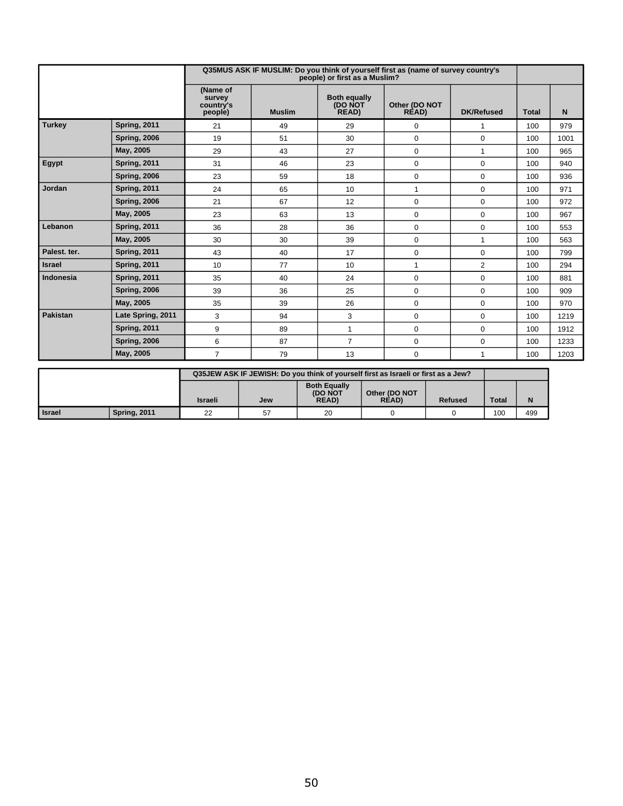|                 |                     |                                            |               | people) or first as a Muslim?           | Q35MUS ASK IF MUSLIM: Do you think of yourself first as (name of survey country's |                   |              |      |
|-----------------|---------------------|--------------------------------------------|---------------|-----------------------------------------|-----------------------------------------------------------------------------------|-------------------|--------------|------|
|                 |                     | (Name of<br>survey<br>country's<br>people) | <b>Muslim</b> | <b>Both equally</b><br>(DO NOT<br>READ) | Other (DO NOT<br>READ)                                                            | <b>DK/Refused</b> | <b>Total</b> | N    |
| <b>Turkey</b>   | <b>Spring, 2011</b> | 21                                         | 49            | 29                                      | $\mathbf 0$                                                                       | 1                 | 100          | 979  |
|                 | <b>Spring, 2006</b> | 19                                         | 51            | 30                                      | 0                                                                                 | $\mathbf 0$       | 100          | 1001 |
|                 | May, 2005           | 29                                         | 43            | 27                                      | 0                                                                                 | $\mathbf{1}$      | 100          | 965  |
| <b>Egypt</b>    | <b>Spring, 2011</b> | 31                                         | 46            | 23                                      | 0                                                                                 | $\mathbf 0$       | 100          | 940  |
|                 | <b>Spring, 2006</b> | 23                                         | 59            | 18                                      | $\mathbf 0$                                                                       | $\mathbf 0$       | 100          | 936  |
| Jordan          | <b>Spring, 2011</b> | 24                                         | 65            | 10                                      | $\mathbf{1}$                                                                      | $\mathbf 0$       | 100          | 971  |
|                 | <b>Spring, 2006</b> | 21                                         | 67            | 12                                      | $\Omega$                                                                          | $\mathbf 0$       | 100          | 972  |
|                 | May, 2005           | 23                                         | 63            | 13                                      | $\mathbf 0$                                                                       | $\mathbf 0$       | 100          | 967  |
| Lebanon         | <b>Spring, 2011</b> | 36                                         | 28            | 36                                      | $\mathbf 0$                                                                       | 0                 | 100          | 553  |
|                 | May, 2005           | 30                                         | 30            | 39                                      | $\Omega$                                                                          | 1                 | 100          | 563  |
| Palest. ter.    | <b>Spring, 2011</b> | 43                                         | 40            | 17                                      | $\mathbf{0}$                                                                      | $\mathbf 0$       | 100          | 799  |
| <b>Israel</b>   | <b>Spring, 2011</b> | 10                                         | 77            | 10                                      | 1                                                                                 | 2                 | 100          | 294  |
| Indonesia       | <b>Spring, 2011</b> | 35                                         | 40            | 24                                      | $\mathbf 0$                                                                       | $\mathbf 0$       | 100          | 881  |
|                 | <b>Spring, 2006</b> | 39                                         | 36            | 25                                      | $\mathbf 0$                                                                       | $\mathbf 0$       | 100          | 909  |
|                 | May, 2005           | 35                                         | 39            | 26                                      | $\Omega$                                                                          | 0                 | 100          | 970  |
| <b>Pakistan</b> | Late Spring, 2011   | 3                                          | 94            | 3                                       | $\Omega$                                                                          | $\mathbf 0$       | 100          | 1219 |
|                 | <b>Spring, 2011</b> | 9                                          | 89            | $\mathbf{1}$                            | $\mathbf 0$                                                                       | $\mathbf 0$       | 100          | 1912 |
|                 | <b>Spring, 2006</b> | 6                                          | 87            | $\overline{7}$                          | $\mathbf 0$                                                                       | $\mathbf 0$       | 100          | 1233 |
|                 | May, 2005           | $\overline{7}$                             | 79            | 13                                      | $\Omega$                                                                          | 1                 | 100          | 1203 |

|                 |                     | Q35JEW ASK IF JEWISH: Do you think of yourself first as Israeli or first as a Jew? |            |                                                      |                              |                |              |     |
|-----------------|---------------------|------------------------------------------------------------------------------------|------------|------------------------------------------------------|------------------------------|----------------|--------------|-----|
|                 |                     | Israeli                                                                            | <b>Jew</b> | <b>Both Equally</b><br><b>(DO NOT</b><br><b>READ</b> | Other (DO NOT<br><b>READ</b> | <b>Refused</b> | <b>Total</b> | N   |
| <b>I</b> Israel | <b>Spring, 2011</b> | 22                                                                                 | 57         | 20                                                   |                              |                | 100          | 499 |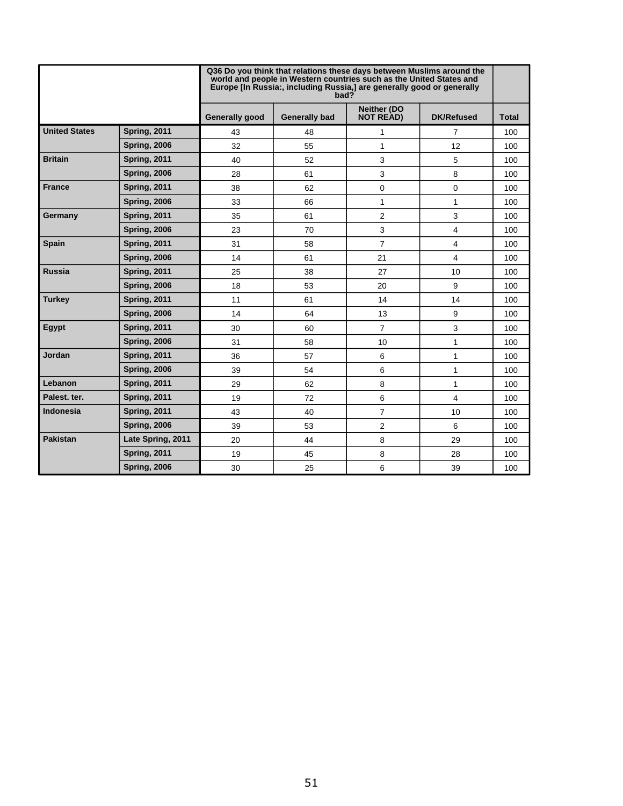|                      |                     | Q36 Do you think that relations these days between Muslims around the<br>world and people in Western countries such as the United States and<br>Europe [In Russia:, including Russia,] are generally good or generally<br>bad? |                      |                                        |                   |              |  |  |
|----------------------|---------------------|--------------------------------------------------------------------------------------------------------------------------------------------------------------------------------------------------------------------------------|----------------------|----------------------------------------|-------------------|--------------|--|--|
|                      |                     | <b>Generally good</b>                                                                                                                                                                                                          | <b>Generally bad</b> | <b>Neither (DO</b><br><b>NOT READ)</b> | <b>DK/Refused</b> | <b>Total</b> |  |  |
| <b>United States</b> | <b>Spring, 2011</b> | 43                                                                                                                                                                                                                             | 48                   | 1                                      | $\overline{7}$    | 100          |  |  |
|                      | <b>Spring, 2006</b> | 32                                                                                                                                                                                                                             | 55                   | 1                                      | 12                | 100          |  |  |
| <b>Britain</b>       | <b>Spring, 2011</b> | 40                                                                                                                                                                                                                             | 52                   | 3                                      | 5                 | 100          |  |  |
|                      | <b>Spring, 2006</b> | 28                                                                                                                                                                                                                             | 61                   | 3                                      | 8                 | 100          |  |  |
| <b>France</b>        | <b>Spring, 2011</b> | 38                                                                                                                                                                                                                             | 62                   | 0                                      | $\mathbf 0$       | 100          |  |  |
|                      | <b>Spring, 2006</b> | 33                                                                                                                                                                                                                             | 66                   | 1                                      | 1                 | 100          |  |  |
| Germany              | <b>Spring, 2011</b> | 35                                                                                                                                                                                                                             | 61                   | $\overline{2}$                         | 3                 | 100          |  |  |
|                      | <b>Spring, 2006</b> | 23                                                                                                                                                                                                                             | 70                   | 3                                      | 4                 | 100          |  |  |
| <b>Spain</b>         | <b>Spring, 2011</b> | 31                                                                                                                                                                                                                             | 58                   | $\overline{7}$                         | 4                 | 100          |  |  |
|                      | <b>Spring, 2006</b> | 14                                                                                                                                                                                                                             | 61                   | 21                                     | $\overline{4}$    | 100          |  |  |
| <b>Russia</b>        | <b>Spring, 2011</b> | 25                                                                                                                                                                                                                             | 38                   | 27                                     | 10                | 100          |  |  |
|                      | <b>Spring, 2006</b> | 18                                                                                                                                                                                                                             | 53                   | 20                                     | 9                 | 100          |  |  |
| <b>Turkey</b>        | <b>Spring, 2011</b> | 11                                                                                                                                                                                                                             | 61                   | 14                                     | 14                | 100          |  |  |
|                      | <b>Spring, 2006</b> | 14                                                                                                                                                                                                                             | 64                   | 13                                     | 9                 | 100          |  |  |
| Egypt                | <b>Spring, 2011</b> | 30                                                                                                                                                                                                                             | 60                   | $\overline{7}$                         | 3                 | 100          |  |  |
|                      | <b>Spring, 2006</b> | 31                                                                                                                                                                                                                             | 58                   | 10                                     | 1                 | 100          |  |  |
| Jordan               | <b>Spring, 2011</b> | 36                                                                                                                                                                                                                             | 57                   | 6                                      | 1                 | 100          |  |  |
|                      | <b>Spring, 2006</b> | 39                                                                                                                                                                                                                             | 54                   | 6                                      | 1                 | 100          |  |  |
| Lebanon              | <b>Spring, 2011</b> | 29                                                                                                                                                                                                                             | 62                   | 8                                      | 1                 | 100          |  |  |
| Palest. ter.         | <b>Spring, 2011</b> | 19                                                                                                                                                                                                                             | 72                   | 6                                      | $\overline{4}$    | 100          |  |  |
| <b>Indonesia</b>     | <b>Spring, 2011</b> | 43                                                                                                                                                                                                                             | 40                   | $\overline{7}$                         | 10                | 100          |  |  |
|                      | <b>Spring, 2006</b> | 39                                                                                                                                                                                                                             | 53                   | 2                                      | 6                 | 100          |  |  |
| <b>Pakistan</b>      | Late Spring, 2011   | 20                                                                                                                                                                                                                             | 44                   | 8                                      | 29                | 100          |  |  |
|                      | <b>Spring, 2011</b> | 19                                                                                                                                                                                                                             | 45                   | 8                                      | 28                | 100          |  |  |
|                      | <b>Spring, 2006</b> | 30                                                                                                                                                                                                                             | 25                   | 6                                      | 39                | 100          |  |  |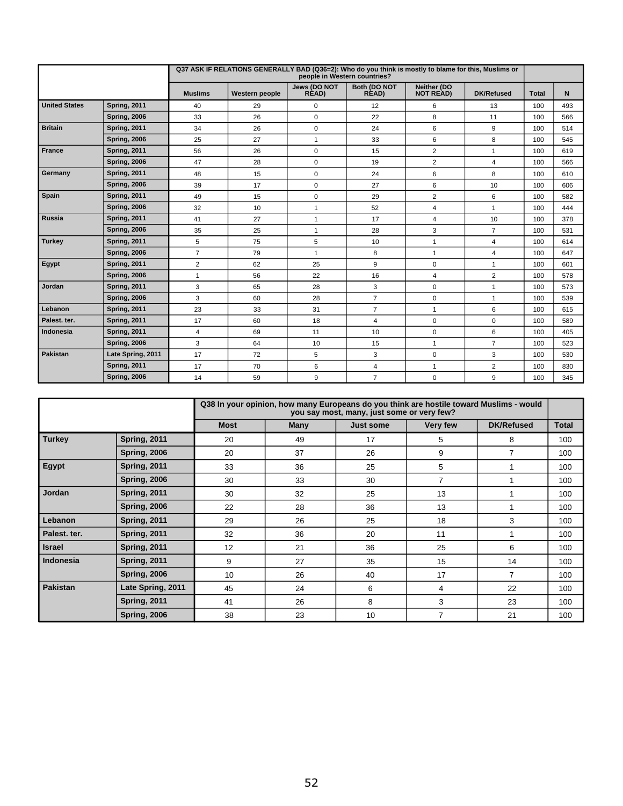|                      |                     |                | Q37 ASK IF RELATIONS GENERALLY BAD (Q36=2): Who do you think is mostly to blame for this, Muslims or | people in Western countries? |                       |                                 |                   |              |     |
|----------------------|---------------------|----------------|------------------------------------------------------------------------------------------------------|------------------------------|-----------------------|---------------------------------|-------------------|--------------|-----|
|                      |                     | <b>Muslims</b> | <b>Western people</b>                                                                                | Jews (DO NOT<br>RÈAD)        | Both (DO NOT<br>RÈAD) | Neither (DO<br><b>NOT READ)</b> | <b>DK/Refused</b> | <b>Total</b> | N   |
| <b>United States</b> | <b>Spring, 2011</b> | 40             | 29                                                                                                   | 0                            | 12                    | 6                               | 13                | 100          | 493 |
|                      | <b>Spring, 2006</b> | 33             | 26                                                                                                   | 0                            | 22                    | 8                               | 11                | 100          | 566 |
| <b>Britain</b>       | <b>Spring, 2011</b> | 34             | 26                                                                                                   | 0                            | 24                    | 6                               | 9                 | 100          | 514 |
|                      | <b>Spring, 2006</b> | 25             | 27                                                                                                   | $\mathbf{1}$                 | 33                    | 6                               | 8                 | 100          | 545 |
| France               | <b>Spring, 2011</b> | 56             | 26                                                                                                   | 0                            | 15                    | $\overline{2}$                  | $\mathbf{1}$      | 100          | 619 |
|                      | <b>Spring, 2006</b> | 47             | 28                                                                                                   | 0                            | 19                    | $\overline{2}$                  | $\overline{4}$    | 100          | 566 |
| Germany              | <b>Spring, 2011</b> | 48             | 15                                                                                                   | 0                            | 24                    | 6                               | 8                 | 100          | 610 |
|                      | <b>Spring, 2006</b> | 39             | 17                                                                                                   | 0                            | 27                    | 6                               | 10                | 100          | 606 |
| Spain                | <b>Spring, 2011</b> | 49             | 15                                                                                                   | 0                            | 29                    | $\overline{2}$                  | 6                 | 100          | 582 |
|                      | <b>Spring, 2006</b> | 32             | 10                                                                                                   | $\mathbf{1}$                 | 52                    | 4                               | $\mathbf{1}$      | 100          | 444 |
| Russia               | Spring, 2011        | 41             | 27                                                                                                   | $\mathbf{1}$                 | 17                    | 4                               | 10                | 100          | 378 |
|                      | <b>Spring, 2006</b> | 35             | 25                                                                                                   | $\mathbf{1}$                 | 28                    | 3                               | $\overline{7}$    | 100          | 531 |
| Turkey               | <b>Spring, 2011</b> | 5              | 75                                                                                                   | 5                            | 10                    | $\mathbf{1}$                    | 4                 | 100          | 614 |
|                      | <b>Spring, 2006</b> | $\overline{7}$ | 79                                                                                                   | $\mathbf{1}$                 | 8                     | $\mathbf{1}$                    | 4                 | 100          | 647 |
| <b>Egypt</b>         | <b>Spring, 2011</b> | $\overline{2}$ | 62                                                                                                   | 25                           | 9                     | 0                               | $\overline{1}$    | 100          | 601 |
|                      | <b>Spring, 2006</b> | $\mathbf{1}$   | 56                                                                                                   | 22                           | 16                    | 4                               | $\overline{2}$    | 100          | 578 |
| Jordan               | <b>Spring, 2011</b> | 3              | 65                                                                                                   | 28                           | 3                     | 0                               | $\mathbf{1}$      | 100          | 573 |
|                      | <b>Spring, 2006</b> | 3              | 60                                                                                                   | 28                           | $\overline{7}$        | 0                               | $\mathbf{1}$      | 100          | 539 |
| Lebanon              | <b>Spring, 2011</b> | 23             | 33                                                                                                   | 31                           | $\overline{7}$        | $\mathbf{1}$                    | 6                 | 100          | 615 |
| Palest, ter.         | <b>Spring, 2011</b> | 17             | 60                                                                                                   | 18                           | 4                     | 0                               | $\mathsf 0$       | 100          | 589 |
| Indonesia            | <b>Spring, 2011</b> | $\overline{4}$ | 69                                                                                                   | 11                           | 10                    | 0                               | 6                 | 100          | 405 |
|                      | <b>Spring, 2006</b> | 3              | 64                                                                                                   | 10                           | 15                    | $\mathbf{1}$                    | $\overline{7}$    | 100          | 523 |
| <b>Pakistan</b>      | Late Spring, 2011   | 17             | 72                                                                                                   | 5                            | 3                     | 0                               | 3                 | 100          | 530 |
|                      | <b>Spring, 2011</b> | 17             | 70                                                                                                   | 6                            | 4                     | $\overline{1}$                  | $\overline{2}$    | 100          | 830 |
|                      | <b>Spring, 2006</b> | 14             | 59                                                                                                   | 9                            | $\overline{7}$        | $\mathbf 0$                     | 9                 | 100          | 345 |

|                  |                     |             |             | Q38 In your opinion, how many Europeans do you think are hostile toward Muslims - would<br>you say most, many, just some or very few? |                |                   |              |
|------------------|---------------------|-------------|-------------|---------------------------------------------------------------------------------------------------------------------------------------|----------------|-------------------|--------------|
|                  |                     | <b>Most</b> | <b>Many</b> | Just some                                                                                                                             | Very few       | <b>DK/Refused</b> | <b>Total</b> |
| <b>Turkey</b>    | <b>Spring, 2011</b> | 20          | 49          | 17                                                                                                                                    | 5              | 8                 | 100          |
|                  | <b>Spring, 2006</b> | 20          | 37          | 26                                                                                                                                    | 9              | $\overline{7}$    | 100          |
| <b>Egypt</b>     | <b>Spring, 2011</b> | 33          | 36          | 25                                                                                                                                    | 5              |                   | 100          |
|                  | <b>Spring, 2006</b> | 30          | 33          | 30                                                                                                                                    | $\overline{7}$ |                   | 100          |
| <b>Jordan</b>    | <b>Spring, 2011</b> | 30          | 32          | 25                                                                                                                                    | 13             |                   | 100          |
|                  | <b>Spring, 2006</b> | 22          | 28          | 36                                                                                                                                    | 13             |                   | 100          |
| Lebanon          | <b>Spring, 2011</b> | 29          | 26          | 25                                                                                                                                    | 18             | 3                 | 100          |
| Palest, ter.     | <b>Spring, 2011</b> | 32          | 36          | 20                                                                                                                                    | 11             |                   | 100          |
| <b>Israel</b>    | <b>Spring, 2011</b> | 12          | 21          | 36                                                                                                                                    | 25             | 6                 | 100          |
| <b>Indonesia</b> | <b>Spring, 2011</b> | 9           | 27          | 35                                                                                                                                    | 15             | 14                | 100          |
|                  | <b>Spring, 2006</b> | 10          | 26          | 40                                                                                                                                    | 17             | $\overline{7}$    | 100          |
| <b>Pakistan</b>  | Late Spring, 2011   | 45          | 24          | 6                                                                                                                                     | 4              | 22                | 100          |
|                  | <b>Spring, 2011</b> | 41          | 26          | 8                                                                                                                                     | 3              | 23                | 100          |
|                  | <b>Spring, 2006</b> | 38          | 23          | 10                                                                                                                                    | $\overline{7}$ | 21                | 100          |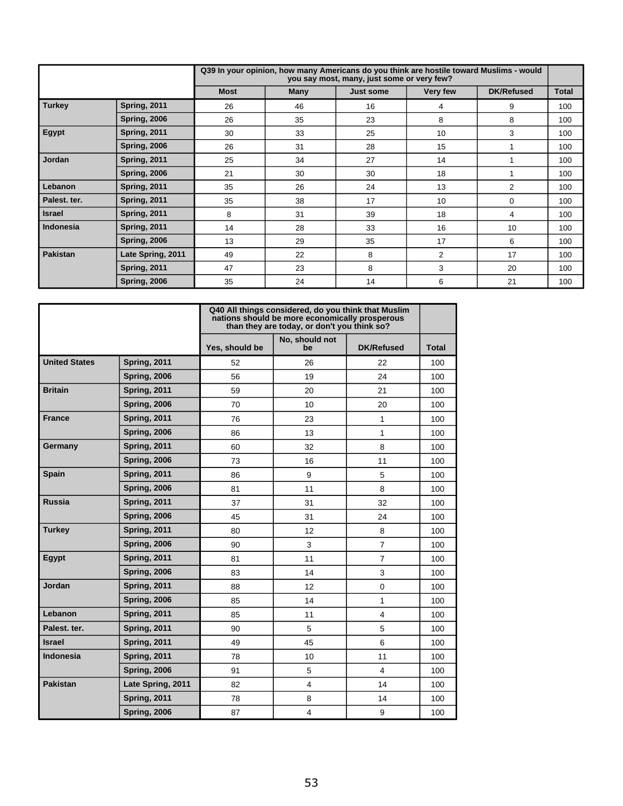|               |                     |             | Q39 In your opinion, how many Americans do you think are hostile toward Muslims - would | you say most, many, just some or very few? |                |                   |              |
|---------------|---------------------|-------------|-----------------------------------------------------------------------------------------|--------------------------------------------|----------------|-------------------|--------------|
|               |                     | <b>Most</b> | Many                                                                                    | <b>Just some</b>                           | Very few       | <b>DK/Refused</b> | <b>Total</b> |
| Turkey        | <b>Spring, 2011</b> | 26          | 46                                                                                      | 16                                         | 4              | 9                 | 100          |
|               | <b>Spring, 2006</b> | 26          | 35                                                                                      | 23                                         | 8              | 8                 | 100          |
| Egypt         | <b>Spring, 2011</b> | 30          | 33                                                                                      | 25                                         | 10             | 3                 | 100          |
|               | <b>Spring, 2006</b> | 26          | 31                                                                                      | 28                                         | 15             |                   | 100          |
| Jordan        | <b>Spring, 2011</b> | 25          | 34                                                                                      | 27                                         | 14             |                   | 100          |
|               | <b>Spring, 2006</b> | 21          | 30                                                                                      | 30                                         | 18             |                   | 100          |
| Lebanon       | <b>Spring, 2011</b> | 35          | 26                                                                                      | 24                                         | 13             | $\overline{2}$    | 100          |
| Palest, ter.  | <b>Spring, 2011</b> | 35          | 38                                                                                      | 17                                         | 10             | $\Omega$          | 100          |
| <b>Israel</b> | <b>Spring, 2011</b> | 8           | 31                                                                                      | 39                                         | 18             | 4                 | 100          |
| Indonesia     | <b>Spring, 2011</b> | 14          | 28                                                                                      | 33                                         | 16             | 10                | 100          |
|               | <b>Spring, 2006</b> | 13          | 29                                                                                      | 35                                         | 17             | 6                 | 100          |
| Pakistan      | Late Spring, 2011   | 49          | 22                                                                                      | 8                                          | $\overline{2}$ | 17                | 100          |
|               | <b>Spring, 2011</b> | 47          | 23                                                                                      | 8                                          | 3              | 20                | 100          |
|               | <b>Spring, 2006</b> | 35          | 24                                                                                      | 14                                         | 6              | 21                | 100          |

|                      |                     |                | Q40 All things considered, do you think that Muslim<br>nations should be more economically prosperous<br>than they are today, or don't you think so? |                   |              |
|----------------------|---------------------|----------------|------------------------------------------------------------------------------------------------------------------------------------------------------|-------------------|--------------|
|                      |                     | Yes, should be | No, should not<br>be                                                                                                                                 | <b>DK/Refused</b> | <b>Total</b> |
| <b>United States</b> | <b>Spring, 2011</b> | 52             | 26                                                                                                                                                   | 22                | 100          |
|                      | <b>Spring, 2006</b> | 56             | 19                                                                                                                                                   | 24                | 100          |
| <b>Britain</b>       | <b>Spring, 2011</b> | 59             | 20                                                                                                                                                   | 21                | 100          |
|                      | <b>Spring, 2006</b> | 70             | 10                                                                                                                                                   | 20                | 100          |
| <b>France</b>        | <b>Spring, 2011</b> | 76             | 23                                                                                                                                                   | $\mathbf{1}$      | 100          |
|                      | <b>Spring, 2006</b> | 86             | 13                                                                                                                                                   | $\mathbf{1}$      | 100          |
| Germany              | <b>Spring, 2011</b> | 60             | 32                                                                                                                                                   | 8                 | 100          |
|                      | <b>Spring, 2006</b> | 73             | 16                                                                                                                                                   | 11                | 100          |
| <b>Spain</b>         | <b>Spring, 2011</b> | 86             | 9                                                                                                                                                    | 5                 | 100          |
|                      | <b>Spring, 2006</b> | 81             | 11                                                                                                                                                   | 8                 | 100          |
| <b>Russia</b>        | <b>Spring, 2011</b> | 37             | 31                                                                                                                                                   | 32                | 100          |
|                      | <b>Spring, 2006</b> | 45             | 31                                                                                                                                                   | 24                | 100          |
| <b>Turkey</b>        | <b>Spring, 2011</b> | 80             | 12                                                                                                                                                   | 8                 | 100          |
|                      | <b>Spring, 2006</b> | 90             | 3                                                                                                                                                    | $\overline{7}$    | 100          |
| Egypt                | <b>Spring, 2011</b> | 81             | 11                                                                                                                                                   | $\overline{7}$    | 100          |
|                      | <b>Spring, 2006</b> | 83             | 14                                                                                                                                                   | 3                 | 100          |
| Jordan               | <b>Spring, 2011</b> | 88             | 12                                                                                                                                                   | 0                 | 100          |
|                      | <b>Spring, 2006</b> | 85             | 14                                                                                                                                                   | $\mathbf{1}$      | 100          |
| Lebanon              | <b>Spring, 2011</b> | 85             | 11                                                                                                                                                   | 4                 | 100          |
| Palest. ter.         | <b>Spring, 2011</b> | 90             | 5                                                                                                                                                    | 5                 | 100          |
| <b>Israel</b>        | <b>Spring, 2011</b> | 49             | 45                                                                                                                                                   | 6                 | 100          |
| <b>Indonesia</b>     | <b>Spring, 2011</b> | 78             | 10                                                                                                                                                   | 11                | 100          |
|                      | <b>Spring, 2006</b> | 91             | 5                                                                                                                                                    | 4                 | 100          |
| <b>Pakistan</b>      | Late Spring, 2011   | 82             | $\overline{4}$                                                                                                                                       | 14                | 100          |
|                      | <b>Spring, 2011</b> | 78             | 8                                                                                                                                                    | 14                | 100          |
|                      | <b>Spring, 2006</b> | 87             | 4                                                                                                                                                    | 9                 | 100          |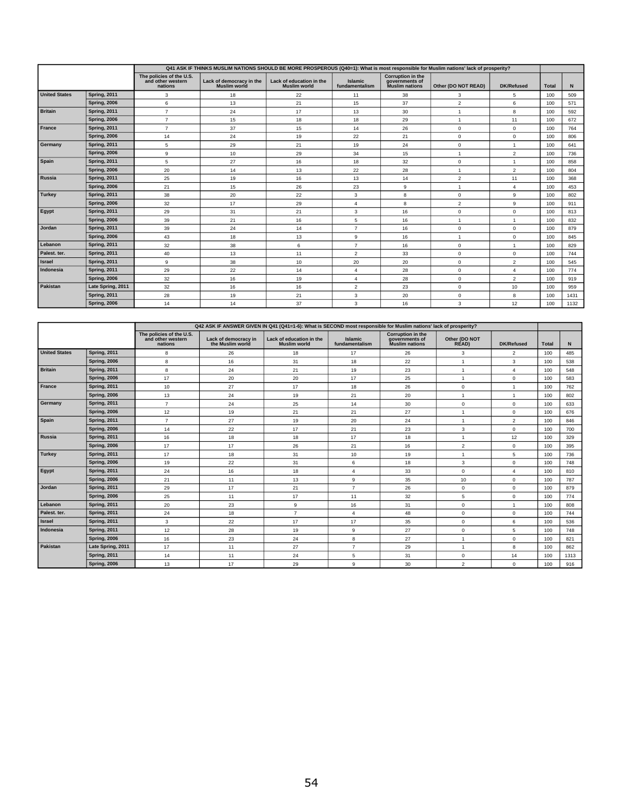|                      |                     |                                                          | Q41 ASK IF THINKS MUSLIM NATIONS SHOULD BE MORE PROSPEROUS (Q40=1): What is most responsible for Muslim nations' lack of prosperity? |                                                 |                                  |                                                              |                     |                   |              |      |
|----------------------|---------------------|----------------------------------------------------------|--------------------------------------------------------------------------------------------------------------------------------------|-------------------------------------------------|----------------------------------|--------------------------------------------------------------|---------------------|-------------------|--------------|------|
|                      |                     | The policies of the U.S.<br>and other western<br>nations | Lack of democracy in the<br>Muslim world                                                                                             | Lack of education in the<br><b>Muslim world</b> | <b>Islamic</b><br>fundamentalism | Corruption in the<br>governments of<br><b>Muslim nations</b> | Other (DO NOT READ) | <b>DK/Refused</b> | <b>Total</b> | N    |
| <b>United States</b> | <b>Spring, 2011</b> | 3                                                        | 18                                                                                                                                   | 22                                              | 11                               | 38                                                           | 3                   | 5                 | 100          | 509  |
|                      | <b>Spring, 2006</b> | 6                                                        | 13                                                                                                                                   | 21                                              | 15                               | 37                                                           | $\overline{2}$      | 6                 | 100          | 571  |
| <b>Britain</b>       | <b>Spring, 2011</b> | $\overline{7}$                                           | 24                                                                                                                                   | 17                                              | 13                               | 30                                                           |                     | 8                 | 100          | 592  |
|                      | <b>Spring, 2006</b> | $\overline{7}$                                           | 15                                                                                                                                   | 18                                              | 18                               | 29                                                           |                     | 11                | 100          | 672  |
| France               | <b>Spring, 2011</b> | $\overline{7}$                                           | 37                                                                                                                                   | 15                                              | 14                               | 26                                                           | $\mathbf 0$         | $\mathbf 0$       | 100          | 764  |
|                      | <b>Spring, 2006</b> | 14                                                       | 24                                                                                                                                   | 19                                              | 22                               | 21                                                           | $\mathbf 0$         | $^{\circ}$        | 100          | 806  |
| Germany              | <b>Spring, 2011</b> | 5                                                        | 29                                                                                                                                   | 21                                              | 19                               | 24                                                           | $\mathbf 0$         |                   | 100          | 641  |
|                      | <b>Spring, 2006</b> | 9                                                        | 10                                                                                                                                   | 29                                              | 34                               | 15                                                           | 1                   | 2                 | 100          | 736  |
| Spain                | <b>Spring, 2011</b> | 5                                                        | 27                                                                                                                                   | 16                                              | 18                               | 32                                                           | $^{\circ}$          |                   | 100          | 858  |
|                      | <b>Spring, 2006</b> | 20                                                       | 14                                                                                                                                   | 13                                              | 22                               | 28                                                           |                     | $\overline{2}$    | 100          | 804  |
| Russia               | <b>Spring, 2011</b> | 25                                                       | 19                                                                                                                                   | 16                                              | 13                               | 14                                                           | $\overline{2}$      | 11                | 100          | 368  |
|                      | <b>Spring, 2006</b> | 21                                                       | 15                                                                                                                                   | 26                                              | 23                               | 9                                                            |                     | $\overline{4}$    | 100          | 453  |
| Turkey               | <b>Spring, 2011</b> | 38                                                       | 20                                                                                                                                   | 22                                              | 3                                | 8                                                            | $\mathbf 0$         | 9                 | 100          | 802  |
|                      | <b>Spring, 2006</b> | 32                                                       | 17                                                                                                                                   | 29                                              | 4                                | 8                                                            | $\overline{2}$      | 9                 | 100          | 911  |
| Egypt                | <b>Spring, 2011</b> | 29                                                       | 31                                                                                                                                   | 21                                              | 3                                | 16                                                           | $\mathbf 0$         | $\mathbf 0$       | 100          | 813  |
|                      | <b>Spring, 2006</b> | 39                                                       | 21                                                                                                                                   | 16                                              | 5                                | 16                                                           |                     |                   | 100          | 832  |
| Jordan               | <b>Spring, 2011</b> | 39                                                       | 24                                                                                                                                   | 14                                              | $\overline{7}$                   | 16                                                           | $\mathbf 0$         | $\mathbf 0$       | 100          | 879  |
|                      | <b>Spring, 2006</b> | 43                                                       | 18                                                                                                                                   | 13                                              | 9                                | 16                                                           |                     | $\mathbf 0$       | 100          | 845  |
| Lebanon              | <b>Spring, 2011</b> | 32                                                       | 38                                                                                                                                   | 6                                               | $\overline{7}$                   | 16                                                           | $\Omega$            |                   | 100          | 829  |
| Palest. ter.         | <b>Spring, 2011</b> | 40                                                       | 13                                                                                                                                   | 11                                              | $\overline{2}$                   | 33                                                           | 0                   | $^{\circ}$        | 100          | 744  |
| Israel               | <b>Spring, 2011</b> | 9                                                        | 38                                                                                                                                   | 10                                              | 20                               | 20                                                           | $\mathbf 0$         | 2                 | 100          | 545  |
| Indonesia            | <b>Spring, 2011</b> | 29                                                       | 22                                                                                                                                   | 14                                              | $\overline{4}$                   | 28                                                           | $\mathbf 0$         | $\overline{4}$    | 100          | 774  |
|                      | <b>Spring, 2006</b> | 32                                                       | 16                                                                                                                                   | 19                                              | $\overline{4}$                   | 28                                                           | $\mathbf 0$         | $\overline{2}$    | 100          | 919  |
| Pakistan             | Late Spring, 2011   | 32                                                       | 16                                                                                                                                   | 16                                              | $\overline{2}$                   | 23                                                           | $\mathbf 0$         | 10                | 100          | 959  |
|                      | <b>Spring, 2011</b> | 28                                                       | 19                                                                                                                                   | 21                                              | 3                                | 20                                                           | 0                   | 8                 | 100          | 1431 |
|                      | <b>Spring, 2006</b> | 14                                                       | 14                                                                                                                                   | 37                                              | 3                                | 16                                                           | 3                   | 12                | 100          | 1132 |

|                      |                     |                                                          |                                          | Q42 ASK IF ANSWER GIVEN IN Q41 (Q41=1-6): What is SECOND most responsible for Muslim nations' lack of prosperity? |                                  |                                                       |                        |                   |              |      |
|----------------------|---------------------|----------------------------------------------------------|------------------------------------------|-------------------------------------------------------------------------------------------------------------------|----------------------------------|-------------------------------------------------------|------------------------|-------------------|--------------|------|
|                      |                     | The policies of the U.S.<br>and other western<br>nations | Lack of democracy in<br>the Muslim world | Lack of education in the<br><b>Muslim world</b>                                                                   | <b>Islamic</b><br>fundamentalism | Corruption in the<br>governments of<br>Muslim nations | Other (DO NOT<br>READ) | <b>DK/Refused</b> | <b>Total</b> | N    |
| <b>United States</b> | <b>Spring, 2011</b> | 8                                                        | 26                                       | 18                                                                                                                | 17                               | 26                                                    | 3                      | $\overline{2}$    | 100          | 485  |
|                      | <b>Spring, 2006</b> | 8                                                        | 16                                       | 31                                                                                                                | 18                               | 22                                                    | $\overline{1}$         | 3                 | 100          | 538  |
| <b>Britain</b>       | <b>Spring, 2011</b> | 8                                                        | 24                                       | 21                                                                                                                | 19                               | 23                                                    | $\overline{1}$         | $\overline{4}$    | 100          | 548  |
|                      | <b>Spring, 2006</b> | 17                                                       | 20                                       | 20                                                                                                                | 17                               | 25                                                    |                        | $\mathbf 0$       | 100          | 583  |
| France               | <b>Spring, 2011</b> | 10                                                       | 27                                       | 17                                                                                                                | 18                               | 26                                                    | $\mathbf 0$            | $\overline{1}$    | 100          | 762  |
|                      | <b>Spring, 2006</b> | 13                                                       | 24                                       | 19                                                                                                                | 21                               | 20                                                    | 1                      | $\overline{1}$    | 100          | 802  |
| Germany              | <b>Spring, 2011</b> | $\overline{7}$                                           | 24                                       | 25                                                                                                                | 14                               | 30                                                    | $\mathbf 0$            | $^{\circ}$        | 100          | 633  |
|                      | <b>Spring, 2006</b> | 12                                                       | 19                                       | 21                                                                                                                | 21                               | 27                                                    | $\overline{1}$         | $^{\circ}$        | 100          | 676  |
| Spain                | <b>Spring, 2011</b> | $\overline{7}$                                           | 27                                       | 19                                                                                                                | 20                               | 24                                                    | $\overline{1}$         | $\overline{2}$    | 100          | 846  |
|                      | <b>Spring, 2006</b> | 14                                                       | 22                                       | 17                                                                                                                | 21                               | 23                                                    | 3                      | $^{\circ}$        | 100          | 700  |
| Russia               | <b>Spring, 2011</b> | 16                                                       | 18                                       | 18                                                                                                                | 17                               | 18                                                    | $\overline{1}$         | 12                | 100          | 329  |
|                      | <b>Spring, 2006</b> | 17                                                       | 17                                       | 26                                                                                                                | 21                               | 16                                                    | $\overline{2}$         | $\mathbf 0$       | 100          | 395  |
| <b>Turkey</b>        | <b>Spring, 2011</b> | 17                                                       | 18                                       | 31                                                                                                                | 10                               | 19                                                    | $\overline{1}$         | 5                 | 100          | 736  |
|                      | <b>Spring, 2006</b> | 19                                                       | 22                                       | 31                                                                                                                | 6                                | 18                                                    | 3                      | $\mathbf 0$       | 100          | 748  |
| Egypt                | <b>Spring, 2011</b> | 24                                                       | 16                                       | 18                                                                                                                | $\overline{4}$                   | 33                                                    | $\mathbf 0$            | $\overline{4}$    | 100          | 810  |
|                      | <b>Spring, 2006</b> | 21                                                       | 11                                       | 13                                                                                                                | 9                                | 35                                                    | 10                     | $^{\circ}$        | 100          | 787  |
| Jordan               | <b>Spring, 2011</b> | 29                                                       | 17                                       | 21                                                                                                                | $\overline{7}$                   | 26                                                    | $\mathbf 0$            | $\mathbf 0$       | 100          | 879  |
|                      | <b>Spring, 2006</b> | 25                                                       | 11                                       | 17                                                                                                                | 11                               | 32                                                    | 5                      | $\mathsf 0$       | 100          | 774  |
| Lebanon              | <b>Spring, 2011</b> | 20                                                       | 23                                       | 9                                                                                                                 | 16                               | 31                                                    | $\mathbf 0$            | $\overline{1}$    | 100          | 808  |
| Palest, ter.         | <b>Spring, 2011</b> | 24                                                       | 18                                       | $\overline{7}$                                                                                                    | $\overline{4}$                   | 48                                                    | $\mathbf 0$            | $^{\circ}$        | 100          | 744  |
| Israel               | <b>Spring, 2011</b> | 3                                                        | 22                                       | 17                                                                                                                | 17                               | 35                                                    | $\mathbf 0$            | 6                 | 100          | 536  |
| Indonesia            | <b>Spring, 2011</b> | 12                                                       | 28                                       | 19                                                                                                                | 9                                | 27                                                    | $\mathbf 0$            | 5                 | 100          | 748  |
|                      | <b>Spring, 2006</b> | 16                                                       | 23                                       | 24                                                                                                                | 8                                | 27                                                    | 1                      | $\mathbf 0$       | 100          | 821  |
| Pakistan             | Late Spring, 2011   | 17                                                       | 11                                       | 27                                                                                                                | $\overline{7}$                   | 29                                                    | $\overline{1}$         | 8                 | 100          | 862  |
|                      | <b>Spring, 2011</b> | 14                                                       | 11                                       | 24                                                                                                                | 5                                | 31                                                    | 0                      | 14                | 100          | 1313 |
|                      | <b>Spring, 2006</b> | 13                                                       | 17                                       | 29                                                                                                                | 9                                | 30                                                    | 2                      | $\mathbf 0$       | 100          | 916  |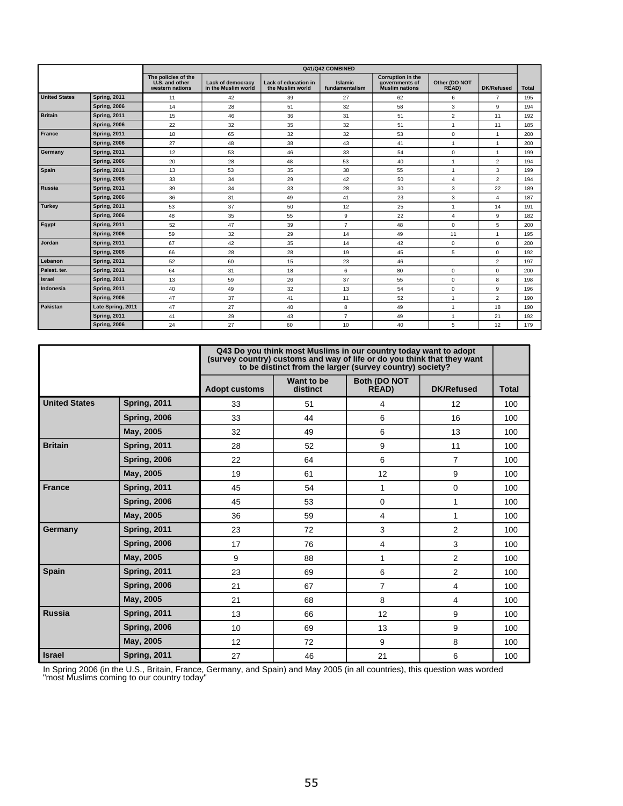|                      |                     |                                                          |                                                 |                                          | Q41/Q42 COMBINED                 |                                                              |                              |                   |              |
|----------------------|---------------------|----------------------------------------------------------|-------------------------------------------------|------------------------------------------|----------------------------------|--------------------------------------------------------------|------------------------------|-------------------|--------------|
|                      |                     | The policies of the<br>U.S. and other<br>western nations | <b>Lack of democracy</b><br>in the Muslim world | Lack of education in<br>the Muslim world | <b>Islamic</b><br>fundamentalism | Corruption in the<br>governments of<br><b>Muslim nations</b> | Other (DO NOT<br><b>READ</b> | <b>DK/Refused</b> | <b>Total</b> |
| <b>United States</b> | <b>Spring, 2011</b> | 11                                                       | 42                                              | 39                                       | 27                               | 62                                                           | 6                            | $\overline{7}$    | 195          |
|                      | <b>Spring, 2006</b> | 14                                                       | 28                                              | 51                                       | 32                               | 58                                                           | 3                            | 9                 | 194          |
| <b>Britain</b>       | <b>Spring, 2011</b> | 15                                                       | 46                                              | 36                                       | 31                               | 51                                                           | $\overline{2}$               | 11                | 192          |
|                      | <b>Spring, 2006</b> | 22                                                       | 32                                              | 35                                       | 32                               | 51                                                           | $\mathbf{1}$                 | 11                | 185          |
| France               | <b>Spring, 2011</b> | 18                                                       | 65                                              | 32                                       | 32                               | 53                                                           | 0                            | $\mathbf{1}$      | 200          |
|                      | <b>Spring, 2006</b> | 27                                                       | 48                                              | 38                                       | 43                               | 41                                                           | $\mathbf{1}$                 | $\mathbf{1}$      | 200          |
| Germany              | <b>Spring, 2011</b> | 12                                                       | 53                                              | 46                                       | 33                               | 54                                                           | $\Omega$                     | $\overline{1}$    | 199          |
|                      | <b>Spring, 2006</b> | 20                                                       | 28                                              | 48                                       | 53                               | 40                                                           | 1                            | $\overline{2}$    | 194          |
| Spain                | <b>Spring, 2011</b> | 13                                                       | 53                                              | 35                                       | 38                               | 55                                                           | $\mathbf{1}$                 | 3                 | 199          |
|                      | <b>Spring, 2006</b> | 33                                                       | 34                                              | 29                                       | 42                               | 50                                                           | $\overline{4}$               | $\overline{2}$    | 194          |
| <b>Russia</b>        | <b>Spring, 2011</b> | 39                                                       | 34                                              | 33                                       | 28                               | 30                                                           | 3                            | 22                | 189          |
|                      | <b>Spring, 2006</b> | 36                                                       | 31                                              | 49                                       | 41                               | 23                                                           | 3                            | $\overline{4}$    | 187          |
| <b>Turkey</b>        | <b>Spring, 2011</b> | 53                                                       | 37                                              | 50                                       | 12                               | 25                                                           | $\mathbf{1}$                 | 14                | 191          |
|                      | <b>Spring, 2006</b> | 48                                                       | 35                                              | 55                                       | 9                                | 22                                                           | 4                            | 9                 | 182          |
| Egypt                | <b>Spring, 2011</b> | 52                                                       | 47                                              | 39                                       | $\overline{7}$                   | 48                                                           | 0                            | 5                 | 200          |
|                      | <b>Spring, 2006</b> | 59                                                       | 32                                              | 29                                       | 14                               | 49                                                           | 11                           | $\mathbf{1}$      | 195          |
| Jordan               | <b>Spring, 2011</b> | 67                                                       | 42                                              | 35                                       | 14                               | 42                                                           | 0                            | $\mathbf 0$       | 200          |
|                      | <b>Spring, 2006</b> | 66                                                       | 28                                              | 28                                       | 19                               | 45                                                           | 5                            | $\mathsf 0$       | 192          |
| Lebanon              | <b>Spring, 2011</b> | 52                                                       | 60                                              | 15                                       | 23                               | 46                                                           |                              | $\overline{2}$    | 197          |
| Palest. ter.         | <b>Spring, 2011</b> | 64                                                       | 31                                              | 18                                       | 6                                | 80                                                           | 0                            | $\mathbf 0$       | 200          |
| Israel               | <b>Spring, 2011</b> | 13                                                       | 59                                              | 26                                       | 37                               | 55                                                           | $\Omega$                     | 8                 | 198          |
| Indonesia            | <b>Spring, 2011</b> | 40                                                       | 49                                              | 32                                       | 13                               | 54                                                           | 0                            | 9                 | 196          |
|                      | <b>Spring, 2006</b> | 47                                                       | 37                                              | 41                                       | 11                               | 52                                                           | 1                            | $\overline{2}$    | 190          |
| Pakistan             | Late Spring, 2011   | 47                                                       | 27                                              | 40                                       | 8                                | 49                                                           | 1                            | 18                | 190          |
|                      | <b>Spring, 2011</b> | 41                                                       | 29                                              | 43                                       | $\overline{7}$                   | 49                                                           | 1                            | 21                | 192          |
|                      | <b>Spring, 2006</b> | 24                                                       | 27                                              | 60                                       | 10                               | 40                                                           | 5                            | 12                | 179          |

|                      |                     |                      |                        | Q43 Do you think most Muslims in our country today want to adopt<br>(survey country) customs and way of life or do you think that they want<br>to be distinct from the larger (survey country) society? |                   |              |
|----------------------|---------------------|----------------------|------------------------|---------------------------------------------------------------------------------------------------------------------------------------------------------------------------------------------------------|-------------------|--------------|
|                      |                     | <b>Adopt customs</b> | Want to be<br>distinct | Both (DO NOT<br>READ)                                                                                                                                                                                   | <b>DK/Refused</b> | <b>Total</b> |
| <b>United States</b> | <b>Spring, 2011</b> | 33                   | 51                     | 4                                                                                                                                                                                                       | 12                | 100          |
|                      | <b>Spring, 2006</b> | 33                   | 44                     | 6                                                                                                                                                                                                       | 16                | 100          |
|                      | May, 2005           | 32                   | 49                     | 6                                                                                                                                                                                                       | 13                | 100          |
| <b>Britain</b>       | <b>Spring, 2011</b> | 28                   | 52                     | 9                                                                                                                                                                                                       | 11                | 100          |
|                      | <b>Spring, 2006</b> | 22                   | 64                     | 6                                                                                                                                                                                                       | $\overline{7}$    | 100          |
|                      | May, 2005           | 19                   | 61                     | 12                                                                                                                                                                                                      | 9                 | 100          |
| <b>France</b>        | <b>Spring, 2011</b> | 45                   | 54                     | 1                                                                                                                                                                                                       | 0                 | 100          |
|                      | <b>Spring, 2006</b> | 45                   | 53                     | 0                                                                                                                                                                                                       | 1                 | 100          |
|                      | May, 2005           | 36                   | 59                     | 4                                                                                                                                                                                                       | 1                 | 100          |
| Germany              | <b>Spring, 2011</b> | 23                   | 72                     | 3                                                                                                                                                                                                       | $\overline{2}$    | 100          |
|                      | <b>Spring, 2006</b> | 17                   | 76                     | 4                                                                                                                                                                                                       | 3                 | 100          |
|                      | May, 2005           | 9                    | 88                     | 1                                                                                                                                                                                                       | 2                 | 100          |
| <b>Spain</b>         | <b>Spring, 2011</b> | 23                   | 69                     | 6                                                                                                                                                                                                       | $\overline{2}$    | 100          |
|                      | <b>Spring, 2006</b> | 21                   | 67                     | $\overline{7}$                                                                                                                                                                                          | 4                 | 100          |
|                      | May, 2005           | 21                   | 68                     | 8                                                                                                                                                                                                       | 4                 | 100          |
| <b>Russia</b>        | <b>Spring, 2011</b> | 13                   | 66                     | 12                                                                                                                                                                                                      | 9                 | 100          |
|                      | <b>Spring, 2006</b> | 10                   | 69                     | 13                                                                                                                                                                                                      | 9                 | 100          |
|                      | May, 2005           | 12                   | 72                     | 9                                                                                                                                                                                                       | 8                 | 100          |
| <b>Israel</b>        | <b>Spring, 2011</b> | 27                   | 46                     | 21                                                                                                                                                                                                      | 6                 | 100          |

In Spring 2006 (in the U.S., Britain, France, Germany, and Spain) and May 2005 (in all countries), this question was worded "most Muslims coming to our country today"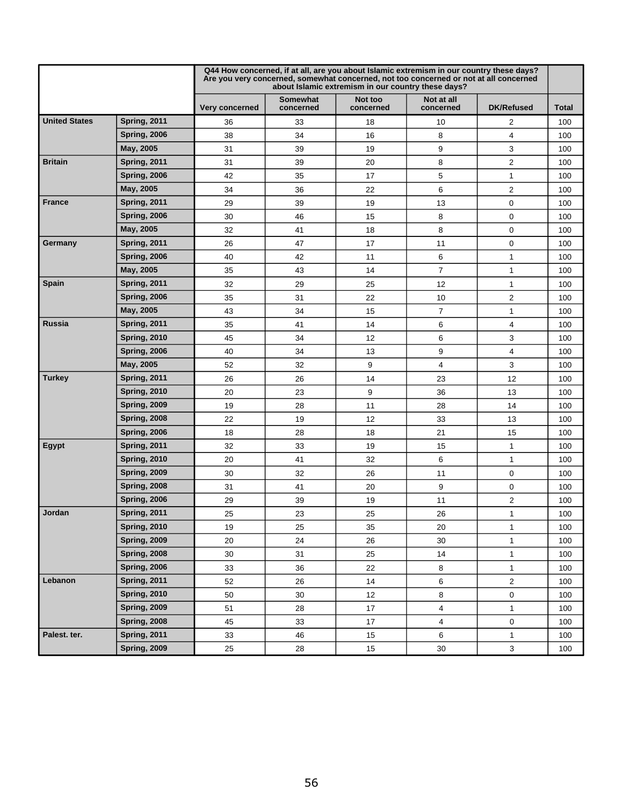|                      |                     |                |                              | Q44 How concerned, if at all, are you about Islamic extremism in our country these days?<br>Are you very concerned, somewhat concerned, not too concerned or not at all concerned<br>about Islamic extremism in our country these days? |                         |                   |              |
|----------------------|---------------------|----------------|------------------------------|-----------------------------------------------------------------------------------------------------------------------------------------------------------------------------------------------------------------------------------------|-------------------------|-------------------|--------------|
|                      |                     | Very concerned | <b>Somewhat</b><br>concerned | Not too<br>concerned                                                                                                                                                                                                                    | Not at all<br>concerned | <b>DK/Refused</b> | <b>Total</b> |
| <b>United States</b> | <b>Spring, 2011</b> | 36             | 33                           | 18                                                                                                                                                                                                                                      | 10                      | $\overline{2}$    | 100          |
|                      | <b>Spring, 2006</b> | 38             | 34                           | 16                                                                                                                                                                                                                                      | 8                       | 4                 | 100          |
|                      | May, 2005           | 31             | 39                           | 19                                                                                                                                                                                                                                      | 9                       | 3                 | 100          |
| <b>Britain</b>       | <b>Spring, 2011</b> | 31             | 39                           | 20                                                                                                                                                                                                                                      | 8                       | $\overline{2}$    | 100          |
|                      | <b>Spring, 2006</b> | 42             | 35                           | 17                                                                                                                                                                                                                                      | 5                       | 1                 | 100          |
|                      | May, 2005           | 34             | 36                           | 22                                                                                                                                                                                                                                      | 6                       | $\overline{2}$    | 100          |
| <b>France</b>        | <b>Spring, 2011</b> | 29             | 39                           | 19                                                                                                                                                                                                                                      | 13                      | $\mathbf 0$       | 100          |
|                      | <b>Spring, 2006</b> | 30             | 46                           | 15                                                                                                                                                                                                                                      | 8                       | $\mathbf 0$       | 100          |
|                      | May, 2005           | 32             | 41                           | 18                                                                                                                                                                                                                                      | 8                       | $\mathbf 0$       | 100          |
| Germany              | <b>Spring, 2011</b> | 26             | 47                           | 17                                                                                                                                                                                                                                      | 11                      | $\mathbf 0$       | 100          |
|                      | <b>Spring, 2006</b> | 40             | 42                           | 11                                                                                                                                                                                                                                      | 6                       | $\mathbf{1}$      | 100          |
|                      | May, 2005           | 35             | 43                           | 14                                                                                                                                                                                                                                      | $\overline{7}$          | $\mathbf{1}$      | 100          |
| Spain                | <b>Spring, 2011</b> | 32             | 29                           | 25                                                                                                                                                                                                                                      | 12                      | $\mathbf{1}$      | 100          |
|                      | <b>Spring, 2006</b> | 35             | 31                           | 22                                                                                                                                                                                                                                      | 10                      | $\overline{2}$    | 100          |
|                      | May, 2005           | 43             | 34                           | 15                                                                                                                                                                                                                                      | 7                       | 1                 | 100          |
| Russia               | <b>Spring, 2011</b> | 35             | 41                           | 14                                                                                                                                                                                                                                      | 6                       | 4                 | 100          |
|                      | <b>Spring, 2010</b> | 45             | 34                           | 12                                                                                                                                                                                                                                      | 6                       | 3                 | 100          |
|                      | <b>Spring, 2006</b> | 40             | 34                           | 13                                                                                                                                                                                                                                      | 9                       | 4                 | 100          |
|                      | May, 2005           | 52             | 32                           | 9                                                                                                                                                                                                                                       | 4                       | 3                 | 100          |
| <b>Turkey</b>        | <b>Spring, 2011</b> | 26             | 26                           | 14                                                                                                                                                                                                                                      | 23                      | 12                | 100          |
|                      | <b>Spring, 2010</b> | 20             | 23                           | 9                                                                                                                                                                                                                                       | 36                      | 13                | 100          |
|                      | <b>Spring, 2009</b> | 19             | 28                           | 11                                                                                                                                                                                                                                      | 28                      | 14                | 100          |
|                      | <b>Spring, 2008</b> | 22             | 19                           | 12                                                                                                                                                                                                                                      | 33                      | 13                | 100          |
|                      | <b>Spring, 2006</b> | 18             | 28                           | 18                                                                                                                                                                                                                                      | 21                      | 15                | 100          |
| Egypt                | <b>Spring, 2011</b> | 32             | 33                           | 19                                                                                                                                                                                                                                      | 15                      | 1                 | 100          |
|                      | <b>Spring, 2010</b> | 20             | 41                           | 32                                                                                                                                                                                                                                      | 6                       | $\mathbf{1}$      | 100          |
|                      | <b>Spring, 2009</b> | 30             | 32                           | 26                                                                                                                                                                                                                                      | 11                      | $\mathbf 0$       | 100          |
|                      | <b>Spring, 2008</b> | 31             | 41                           | 20                                                                                                                                                                                                                                      | 9                       | 0                 | 100          |
|                      | <b>Spring, 2006</b> | 29             | 39                           | 19                                                                                                                                                                                                                                      | 11                      | 2                 | 100          |
| Jordan               | <b>Spring, 2011</b> | 25             | 23                           | 25                                                                                                                                                                                                                                      | 26                      | 1                 | 100          |
|                      | <b>Spring, 2010</b> | 19             | 25                           | 35                                                                                                                                                                                                                                      | 20                      | 1                 | 100          |
|                      | <b>Spring, 2009</b> | 20             | 24                           | 26                                                                                                                                                                                                                                      | 30                      | 1                 | 100          |
|                      | <b>Spring, 2008</b> | $30\,$         | 31                           | 25                                                                                                                                                                                                                                      | 14                      | $\mathbf{1}$      | 100          |
|                      | <b>Spring, 2006</b> | 33             | 36                           | 22                                                                                                                                                                                                                                      | 8                       | $\mathbf{1}$      | 100          |
| Lebanon              | <b>Spring, 2011</b> | 52             | 26                           | 14                                                                                                                                                                                                                                      | 6                       | $\overline{2}$    | 100          |
|                      | <b>Spring, 2010</b> | 50             | $30\,$                       | 12                                                                                                                                                                                                                                      | 8                       | $\mathbf 0$       | 100          |
|                      | <b>Spring, 2009</b> | 51             | 28                           | 17                                                                                                                                                                                                                                      | 4                       | $\mathbf{1}$      | 100          |
|                      | <b>Spring, 2008</b> | 45             | 33                           | 17                                                                                                                                                                                                                                      | $\overline{4}$          | 0                 | 100          |
| Palest. ter.         | <b>Spring, 2011</b> | 33             | 46                           | 15                                                                                                                                                                                                                                      | 6                       | $\mathbf{1}$      | 100          |
|                      | <b>Spring, 2009</b> | 25             | 28                           | 15                                                                                                                                                                                                                                      | 30                      | $\mathbf{3}$      | 100          |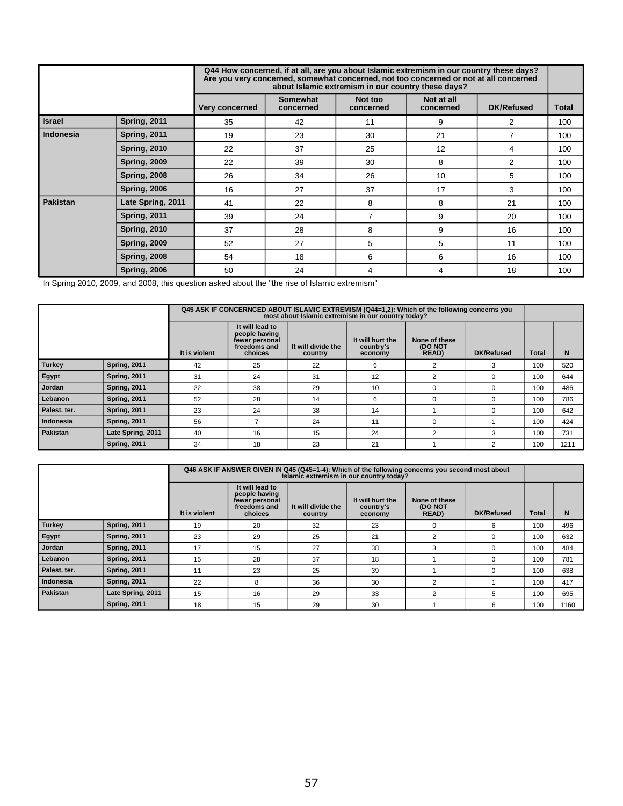|                 |                     |                |                              | Q44 How concerned, if at all, are you about Islamic extremism in our country these days?<br>Are you very concerned, somewhat concerned, not too concerned or not at all concerned<br>about Islamic extremism in our country these days? |                         |                   |              |
|-----------------|---------------------|----------------|------------------------------|-----------------------------------------------------------------------------------------------------------------------------------------------------------------------------------------------------------------------------------------|-------------------------|-------------------|--------------|
|                 |                     | Very concerned | <b>Somewhat</b><br>concerned | Not too<br>concerned                                                                                                                                                                                                                    | Not at all<br>concerned | <b>DK/Refused</b> | <b>Total</b> |
| <b>Israel</b>   | <b>Spring, 2011</b> | 35             | 42                           | 11                                                                                                                                                                                                                                      | 9                       | $\overline{2}$    | 100          |
| Indonesia       | <b>Spring, 2011</b> | 19             | 23                           | 30                                                                                                                                                                                                                                      | 21                      | 7                 | 100          |
|                 | <b>Spring, 2010</b> | 22             | 37                           | 25                                                                                                                                                                                                                                      | 12                      | 4                 | 100          |
|                 | <b>Spring, 2009</b> | 22             | 39                           | 30                                                                                                                                                                                                                                      | 8                       | 2                 | 100          |
|                 | <b>Spring, 2008</b> | 26             | 34                           | 26                                                                                                                                                                                                                                      | 10                      | 5                 | 100          |
|                 | <b>Spring, 2006</b> | 16             | 27                           | 37                                                                                                                                                                                                                                      | 17                      | 3                 | 100          |
| <b>Pakistan</b> | Late Spring, 2011   | 41             | 22                           | 8                                                                                                                                                                                                                                       | 8                       | 21                | 100          |
|                 | <b>Spring, 2011</b> | 39             | 24                           | $\overline{7}$                                                                                                                                                                                                                          | 9                       | 20                | 100          |
|                 | <b>Spring, 2010</b> | 37             | 28                           | 8                                                                                                                                                                                                                                       | 9                       | 16                | 100          |
|                 | <b>Spring, 2009</b> | 52             | 27                           | 5                                                                                                                                                                                                                                       | 5                       | 11                | 100          |
|                 | <b>Spring, 2008</b> | 54             | 18                           | 6                                                                                                                                                                                                                                       | 6                       | 16                | 100          |
|                 | <b>Spring, 2006</b> | 50             | 24                           | 4                                                                                                                                                                                                                                       | 4                       | 18                | 100          |

In Spring 2010, 2009, and 2008, this question asked about the "the rise of Islamic extremism"

|              |                     | Q45 ASK IF CONCERNCED ABOUT ISLAMIC EXTREMISM (Q44=1,2): Which of the following concerns you<br>most about Islamic extremism in our country today? |                                                                               |                               |                                          |                                   |                   |              |      |
|--------------|---------------------|----------------------------------------------------------------------------------------------------------------------------------------------------|-------------------------------------------------------------------------------|-------------------------------|------------------------------------------|-----------------------------------|-------------------|--------------|------|
|              |                     | It is violent                                                                                                                                      | It will lead to<br>people having<br>fewer personal<br>freedoms and<br>choices | It will divide the<br>country | It will hurt the<br>country's<br>economy | None of these<br>(DO NOT<br>READ) | <b>DK/Refused</b> | <b>Total</b> | N    |
| Turkey       | <b>Spring, 2011</b> | 42                                                                                                                                                 | 25                                                                            | 22                            | 6                                        | 2                                 | 3                 | 100          | 520  |
| Egypt        | <b>Spring, 2011</b> | 31                                                                                                                                                 | 24                                                                            | 31                            | 12                                       |                                   | $\Omega$          | 100          | 644  |
| Jordan       | <b>Spring, 2011</b> | 22                                                                                                                                                 | 38                                                                            | 29                            | 10                                       | ∩                                 | $\Omega$          | 100          | 486  |
| l Lebanon    | <b>Spring, 2011</b> | 52                                                                                                                                                 | 28                                                                            | 14                            | 6                                        | $\Omega$                          | $\Omega$          | 100          | 786  |
| Palest. ter. | <b>Spring, 2011</b> | 23                                                                                                                                                 | 24                                                                            | 38                            | 14                                       |                                   | $\Omega$          | 100          | 642  |
| l Indonesia  | <b>Spring, 2011</b> | 56                                                                                                                                                 |                                                                               | 24                            | 11                                       |                                   |                   | 100          | 424  |
| l Pakistan   | Late Spring, 2011   | 40                                                                                                                                                 | 16                                                                            | 15                            | 24                                       | $\overline{2}$                    | 3                 | 100          | 731  |
|              | <b>Spring, 2011</b> | 34                                                                                                                                                 | 18                                                                            | 23                            | 21                                       |                                   |                   | 100          | 1211 |

|              |                     | Q46 ASK IF ANSWER GIVEN IN Q45 (Q45=1-4): Which of the following concerns you second most about<br>Islamic extremism in our country today? |                                                                               |                               |                                          |                                   |                   |       |      |
|--------------|---------------------|--------------------------------------------------------------------------------------------------------------------------------------------|-------------------------------------------------------------------------------|-------------------------------|------------------------------------------|-----------------------------------|-------------------|-------|------|
|              |                     | It is violent                                                                                                                              | It will lead to<br>people having<br>fewer personal<br>freedoms and<br>choices | It will divide the<br>country | It will hurt the<br>country's<br>economy | None of these<br>(DO NOT<br>READ) | <b>DK/Refused</b> | Total | N    |
| Turkey       | <b>Spring, 2011</b> | 19                                                                                                                                         | 20                                                                            | 32                            | 23                                       | $\Omega$                          | 6                 | 100   | 496  |
| Egypt        | <b>Spring, 2011</b> | 23                                                                                                                                         | 29                                                                            | 25                            | 21                                       | 2                                 | $\Omega$          | 100   | 632  |
| Jordan       | <b>Spring, 2011</b> | 17                                                                                                                                         | 15                                                                            | 27                            | 38                                       | 3                                 | $\Omega$          | 100   | 484  |
| l Lebanon    | <b>Spring, 2011</b> | 15                                                                                                                                         | 28                                                                            | 37                            | 18                                       |                                   |                   | 100   | 781  |
| Palest. ter. | <b>Spring, 2011</b> | 11                                                                                                                                         | 23                                                                            | 25                            | 39                                       |                                   |                   | 100   | 638  |
| l Indonesia  | <b>Spring, 2011</b> | 22                                                                                                                                         | 8                                                                             | 36                            | 30                                       | 2                                 |                   | 100   | 417  |
| Pakistan     | Late Spring, 2011   | 15                                                                                                                                         | 16                                                                            | 29                            | 33                                       | 2                                 | 5                 | 100   | 695  |
|              | <b>Spring, 2011</b> | 18                                                                                                                                         | 15                                                                            | 29                            | 30                                       |                                   | 6                 | 100   | 1160 |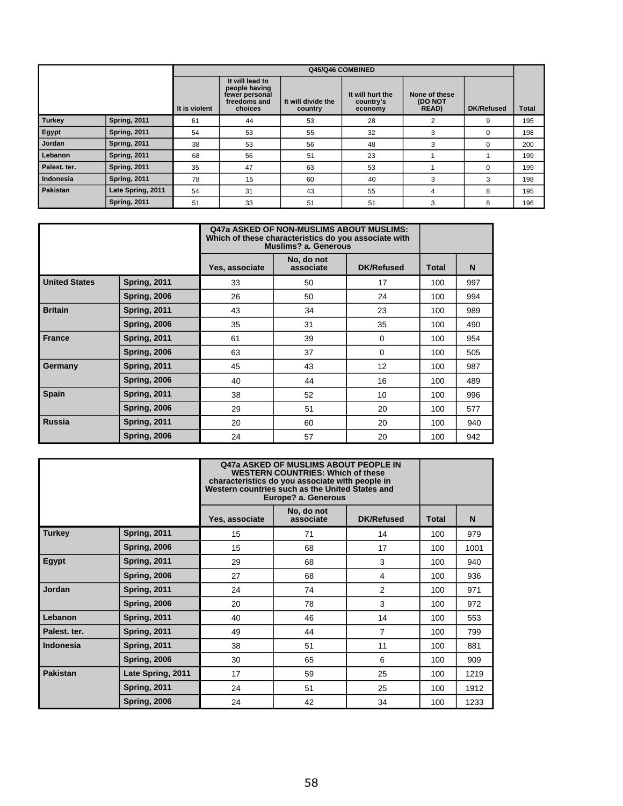|               |                     |               |                                                                               |                               | Q45/Q46 COMBINED                         |                                   |                   |              |
|---------------|---------------------|---------------|-------------------------------------------------------------------------------|-------------------------------|------------------------------------------|-----------------------------------|-------------------|--------------|
|               |                     | It is violent | It will lead to<br>people having<br>fewer personal<br>freedoms and<br>choices | It will divide the<br>country | It will hurt the<br>country's<br>economy | None of these<br>(DO NOT<br>READ) | <b>DK/Refused</b> | <b>Total</b> |
| <b>Turkey</b> | <b>Spring, 2011</b> | 61            | 44                                                                            | 53                            | 28                                       | 2                                 | 9                 | 195          |
| Egypt         | <b>Spring, 2011</b> | 54            | 53                                                                            | 55                            | 32                                       | 3                                 | $\Omega$          | 198          |
| Jordan        | <b>Spring, 2011</b> | 38            | 53                                                                            | 56                            | 48                                       | 3                                 | $\Omega$          | 200          |
| Lebanon       | <b>Spring, 2011</b> | 68            | 56                                                                            | 51                            | 23                                       |                                   |                   | 199          |
| Palest. ter.  | <b>Spring, 2011</b> | 35            | 47                                                                            | 63                            | 53                                       |                                   | $\Omega$          | 199          |
| Indonesia     | <b>Spring, 2011</b> | 78            | 15                                                                            | 60                            | 40                                       | 3                                 | 3                 | 198          |
| Pakistan      | Late Spring, 2011   | 54            | 31                                                                            | 43                            | 55                                       | 4                                 | 8                 | 195          |
|               | <b>Spring, 2011</b> | 51            | 33                                                                            | 51                            | 51                                       | 3                                 | 8                 | 196          |

|                      |                     |                | Q47a ASKED OF NON-MUSLIMS ABOUT MUSLIMS:<br>Which of these characteristics do you associate with<br>Muslims? a. Generous |                   |              |     |
|----------------------|---------------------|----------------|--------------------------------------------------------------------------------------------------------------------------|-------------------|--------------|-----|
|                      |                     | Yes, associate | No, do not<br>associate                                                                                                  | <b>DK/Refused</b> | <b>Total</b> | N   |
| <b>United States</b> | <b>Spring, 2011</b> | 33             | 50                                                                                                                       | 17                | 100          | 997 |
|                      | <b>Spring, 2006</b> | 26             | 50                                                                                                                       | 24                | 100          | 994 |
| <b>Britain</b>       | <b>Spring, 2011</b> | 43             | 34                                                                                                                       | 23                | 100          | 989 |
|                      | <b>Spring, 2006</b> | 35             | 31                                                                                                                       | 35                | 100          | 490 |
| <b>France</b>        | <b>Spring, 2011</b> | 61             | 39                                                                                                                       | $\mathbf 0$       | 100          | 954 |
|                      | <b>Spring, 2006</b> | 63             | 37                                                                                                                       | $\Omega$          | 100          | 505 |
| Germany              | <b>Spring, 2011</b> | 45             | 43                                                                                                                       | 12                | 100          | 987 |
|                      | <b>Spring, 2006</b> | 40             | 44                                                                                                                       | 16                | 100          | 489 |
| <b>Spain</b>         | <b>Spring, 2011</b> | 38             | 52                                                                                                                       | 10 <sup>°</sup>   | 100          | 996 |
|                      | <b>Spring, 2006</b> | 29             | 51                                                                                                                       | 20                | 100          | 577 |
| <b>Russia</b>        | <b>Spring, 2011</b> | 20             | 60                                                                                                                       | 20                | 100          | 940 |
|                      | <b>Spring, 2006</b> | 24             | 57                                                                                                                       | 20                | 100          | 942 |

|                 |                     | <b>Q47a ASKED OF MUSLIMS ABOUT PEOPLE IN</b><br><b>WESTERN COUNTRIES: Which of these</b><br>characteristics do you associate with people in<br>Western countries such as the United States and<br>Europe? a. Generous |                         |                   |              |      |
|-----------------|---------------------|-----------------------------------------------------------------------------------------------------------------------------------------------------------------------------------------------------------------------|-------------------------|-------------------|--------------|------|
|                 |                     | Yes, associate                                                                                                                                                                                                        | No, do not<br>associate | <b>DK/Refused</b> | <b>Total</b> | N    |
| <b>Turkey</b>   | <b>Spring, 2011</b> | 15                                                                                                                                                                                                                    | 71                      | 14                | 100          | 979  |
|                 | <b>Spring, 2006</b> | 15                                                                                                                                                                                                                    | 68                      | 17                | 100          | 1001 |
| Egypt           | <b>Spring, 2011</b> | 29                                                                                                                                                                                                                    | 68                      | 3                 | 100          | 940  |
|                 | <b>Spring, 2006</b> | 27                                                                                                                                                                                                                    | 68                      | 4                 | 100          | 936  |
| Jordan          | <b>Spring, 2011</b> | 24                                                                                                                                                                                                                    | 74                      | 2                 | 100          | 971  |
|                 | <b>Spring, 2006</b> | 20                                                                                                                                                                                                                    | 78                      | 3                 | 100          | 972  |
| Lebanon         | <b>Spring, 2011</b> | 40                                                                                                                                                                                                                    | 46                      | 14                | 100          | 553  |
| Palest. ter.    | <b>Spring, 2011</b> | 49                                                                                                                                                                                                                    | 44                      | 7                 | 100          | 799  |
| Indonesia       | <b>Spring, 2011</b> | 38                                                                                                                                                                                                                    | 51                      | 11                | 100          | 881  |
|                 | <b>Spring, 2006</b> | 30                                                                                                                                                                                                                    | 65                      | 6                 | 100          | 909  |
| <b>Pakistan</b> | Late Spring, 2011   | 17                                                                                                                                                                                                                    | 59                      | 25                | 100          | 1219 |
|                 | <b>Spring, 2011</b> | 24                                                                                                                                                                                                                    | 51                      | 25                | 100          | 1912 |
|                 | <b>Spring, 2006</b> | 24                                                                                                                                                                                                                    | 42                      | 34                | 100          | 1233 |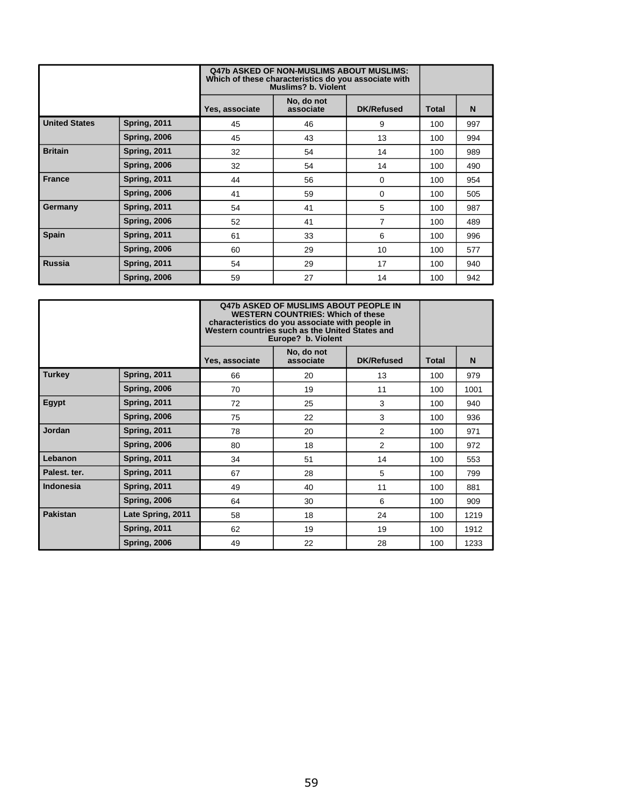|                      |                     | <b>Q47b ASKED OF NON-MUSLIMS ABOUT MUSLIMS:</b><br>Which of these characteristics do you associate with<br><b>Muslims? b. Violent</b> |                         |                   |              |     |
|----------------------|---------------------|---------------------------------------------------------------------------------------------------------------------------------------|-------------------------|-------------------|--------------|-----|
|                      |                     | Yes, associate                                                                                                                        | No, do not<br>associate | <b>DK/Refused</b> | <b>Total</b> | N   |
| <b>United States</b> | <b>Spring, 2011</b> | 45                                                                                                                                    | 46                      | 9                 | 100          | 997 |
|                      | <b>Spring, 2006</b> | 45                                                                                                                                    | 43                      | 13                | 100          | 994 |
| <b>Britain</b>       | <b>Spring, 2011</b> | 32                                                                                                                                    | 54                      | 14                | 100          | 989 |
|                      | <b>Spring, 2006</b> | 32                                                                                                                                    | 54                      | 14                | 100          | 490 |
| <b>France</b>        | <b>Spring, 2011</b> | 44                                                                                                                                    | 56                      | $\mathbf 0$       | 100          | 954 |
|                      | <b>Spring, 2006</b> | 41                                                                                                                                    | 59                      | $\mathbf 0$       | 100          | 505 |
| Germany              | <b>Spring, 2011</b> | 54                                                                                                                                    | 41                      | 5                 | 100          | 987 |
|                      | <b>Spring, 2006</b> | 52                                                                                                                                    | 41                      | 7                 | 100          | 489 |
| <b>Spain</b>         | <b>Spring, 2011</b> | 61                                                                                                                                    | 33                      | 6                 | 100          | 996 |
|                      | <b>Spring, 2006</b> | 60                                                                                                                                    | 29                      | 10                | 100          | 577 |
| <b>Russia</b>        | <b>Spring, 2011</b> | 54                                                                                                                                    | 29                      | 17                | 100          | 940 |
|                      | <b>Spring, 2006</b> | 59                                                                                                                                    | 27                      | 14                | 100          | 942 |

|                 |                     | <b>Q47b ASKED OF MUSLIMS ABOUT PEOPLE IN</b><br><b>WESTERN COUNTRIES: Which of these</b><br>characteristics do you associate with people in<br>Western countries such as the United States and<br>Europe? b. Violent |                         |                   |              |      |
|-----------------|---------------------|----------------------------------------------------------------------------------------------------------------------------------------------------------------------------------------------------------------------|-------------------------|-------------------|--------------|------|
|                 |                     | Yes, associate                                                                                                                                                                                                       | No, do not<br>associate | <b>DK/Refused</b> | <b>Total</b> | N    |
| <b>Turkey</b>   | <b>Spring, 2011</b> | 66                                                                                                                                                                                                                   | 20                      | 13                | 100          | 979  |
|                 | <b>Spring, 2006</b> | 70                                                                                                                                                                                                                   | 19                      | 11                | 100          | 1001 |
| Egypt           | <b>Spring, 2011</b> | 72                                                                                                                                                                                                                   | 25                      | 3                 | 100          | 940  |
|                 | <b>Spring, 2006</b> | 75                                                                                                                                                                                                                   | 22                      | 3                 | 100          | 936  |
| Jordan          | <b>Spring, 2011</b> | 78                                                                                                                                                                                                                   | 20                      | 2                 | 100          | 971  |
|                 | <b>Spring, 2006</b> | 80                                                                                                                                                                                                                   | 18                      | 2                 | 100          | 972  |
| Lebanon         | <b>Spring, 2011</b> | 34                                                                                                                                                                                                                   | 51                      | 14                | 100          | 553  |
| Palest. ter.    | <b>Spring, 2011</b> | 67                                                                                                                                                                                                                   | 28                      | 5                 | 100          | 799  |
| Indonesia       | <b>Spring, 2011</b> | 49                                                                                                                                                                                                                   | 40                      | 11                | 100          | 881  |
|                 | <b>Spring, 2006</b> | 64                                                                                                                                                                                                                   | 30                      | 6                 | 100          | 909  |
| <b>Pakistan</b> | Late Spring, 2011   | 58                                                                                                                                                                                                                   | 18                      | 24                | 100          | 1219 |
|                 | <b>Spring, 2011</b> | 62                                                                                                                                                                                                                   | 19                      | 19                | 100          | 1912 |
|                 | <b>Spring, 2006</b> | 49                                                                                                                                                                                                                   | 22                      | 28                | 100          | 1233 |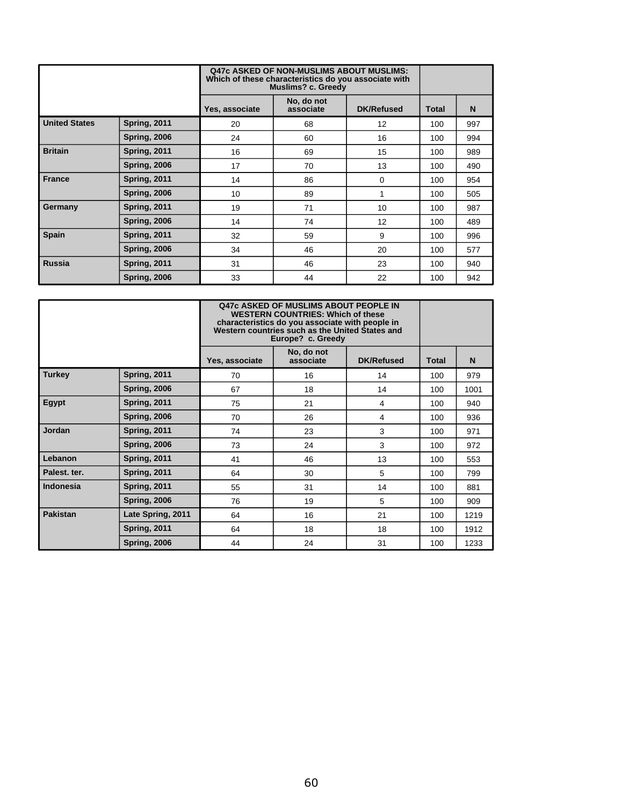|                      |                     | <b>Q47c ASKED OF NON-MUSLIMS ABOUT MUSLIMS:</b><br>Which of these characteristics do you associate with<br><b>Muslims? c. Greedy</b> |                         |                   |              |     |
|----------------------|---------------------|--------------------------------------------------------------------------------------------------------------------------------------|-------------------------|-------------------|--------------|-----|
|                      |                     | Yes, associate                                                                                                                       | No, do not<br>associate | <b>DK/Refused</b> | <b>Total</b> | N   |
| <b>United States</b> | <b>Spring, 2011</b> | 20                                                                                                                                   | 68                      | 12                | 100          | 997 |
|                      | <b>Spring, 2006</b> | 24                                                                                                                                   | 60                      | 16                | 100          | 994 |
| <b>Britain</b>       | <b>Spring, 2011</b> | 16                                                                                                                                   | 69                      | 15                | 100          | 989 |
|                      | <b>Spring, 2006</b> | 17                                                                                                                                   | 70                      | 13                | 100          | 490 |
| <b>France</b>        | <b>Spring, 2011</b> | 14                                                                                                                                   | 86                      | 0                 | 100          | 954 |
|                      | <b>Spring, 2006</b> | 10                                                                                                                                   | 89                      | 1                 | 100          | 505 |
| Germany              | <b>Spring, 2011</b> | 19                                                                                                                                   | 71                      | 10                | 100          | 987 |
|                      | <b>Spring, 2006</b> | 14                                                                                                                                   | 74                      | 12                | 100          | 489 |
| <b>Spain</b>         | <b>Spring, 2011</b> | 32                                                                                                                                   | 59                      | 9                 | 100          | 996 |
|                      | <b>Spring, 2006</b> | 34                                                                                                                                   | 46                      | 20                | 100          | 577 |
| <b>Russia</b>        | <b>Spring, 2011</b> | 31                                                                                                                                   | 46                      | 23                | 100          | 940 |
|                      | <b>Spring, 2006</b> | 33                                                                                                                                   | 44                      | 22                | 100          | 942 |

|                 |                     | <b>Q47c ASKED OF MUSLIMS ABOUT PEOPLE IN</b><br><b>WESTERN COUNTRIES: Which of these</b><br>characteristics do you associate with people in<br>Western countries such as the United States and<br>Europe? c. Greedy |                         |                   |              |      |
|-----------------|---------------------|---------------------------------------------------------------------------------------------------------------------------------------------------------------------------------------------------------------------|-------------------------|-------------------|--------------|------|
|                 |                     | Yes, associate                                                                                                                                                                                                      | No, do not<br>associate | <b>DK/Refused</b> | <b>Total</b> | N    |
| <b>Turkey</b>   | <b>Spring, 2011</b> | 70                                                                                                                                                                                                                  | 16                      | 14                | 100          | 979  |
|                 | <b>Spring, 2006</b> | 67                                                                                                                                                                                                                  | 18                      | 14                | 100          | 1001 |
| Egypt           | <b>Spring, 2011</b> | 75                                                                                                                                                                                                                  | 21                      | 4                 | 100          | 940  |
|                 | <b>Spring, 2006</b> | 70                                                                                                                                                                                                                  | 26                      | 4                 | 100          | 936  |
| <b>Jordan</b>   | <b>Spring, 2011</b> | 74                                                                                                                                                                                                                  | 23                      | 3                 | 100          | 971  |
|                 | <b>Spring, 2006</b> | 73                                                                                                                                                                                                                  | 24                      | 3                 | 100          | 972  |
| Lebanon         | <b>Spring, 2011</b> | 41                                                                                                                                                                                                                  | 46                      | 13                | 100          | 553  |
| Palest. ter.    | <b>Spring, 2011</b> | 64                                                                                                                                                                                                                  | 30                      | 5                 | 100          | 799  |
| Indonesia       | <b>Spring, 2011</b> | 55                                                                                                                                                                                                                  | 31                      | 14                | 100          | 881  |
|                 | <b>Spring, 2006</b> | 76                                                                                                                                                                                                                  | 19                      | 5                 | 100          | 909  |
| <b>Pakistan</b> | Late Spring, 2011   | 64                                                                                                                                                                                                                  | 16                      | 21                | 100          | 1219 |
|                 | <b>Spring, 2011</b> | 64                                                                                                                                                                                                                  | 18                      | 18                | 100          | 1912 |
|                 | <b>Spring, 2006</b> | 44                                                                                                                                                                                                                  | 24                      | 31                | 100          | 1233 |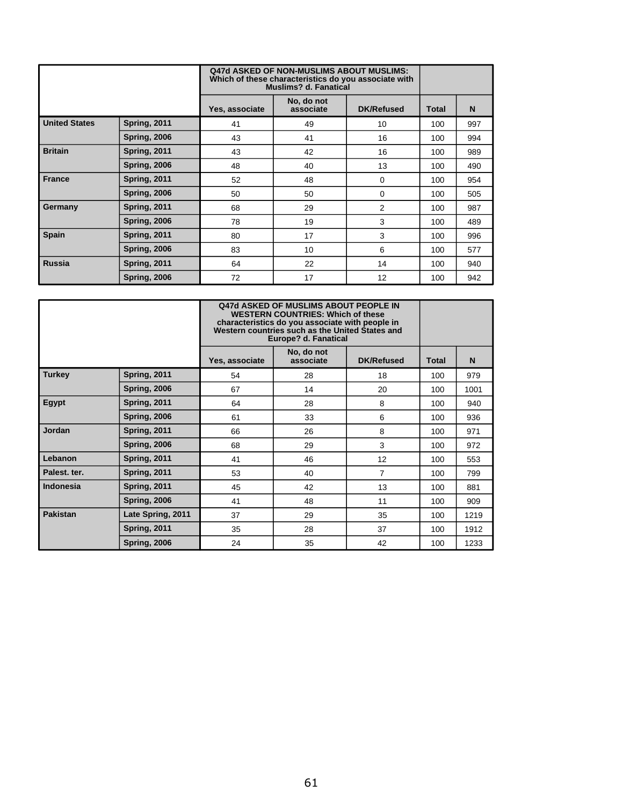|                      |                     | <b>Q47d ASKED OF NON-MUSLIMS ABOUT MUSLIMS:</b><br>Which of these characteristics do you associate with<br>Muslims? d. Fanatical |                         |                   |              |     |
|----------------------|---------------------|----------------------------------------------------------------------------------------------------------------------------------|-------------------------|-------------------|--------------|-----|
|                      |                     | Yes, associate                                                                                                                   | No, do not<br>associate | <b>DK/Refused</b> | <b>Total</b> | N   |
| <b>United States</b> | <b>Spring, 2011</b> | 41                                                                                                                               | 49                      | 10                | 100          | 997 |
|                      | <b>Spring, 2006</b> | 43                                                                                                                               | 41                      | 16                | 100          | 994 |
| <b>Britain</b>       | <b>Spring, 2011</b> | 43                                                                                                                               | 42                      | 16                | 100          | 989 |
|                      | <b>Spring, 2006</b> | 48                                                                                                                               | 40                      | 13                | 100          | 490 |
| <b>France</b>        | <b>Spring, 2011</b> | 52                                                                                                                               | 48                      | 0                 | 100          | 954 |
|                      | <b>Spring, 2006</b> | 50                                                                                                                               | 50                      | 0                 | 100          | 505 |
| Germany              | <b>Spring, 2011</b> | 68                                                                                                                               | 29                      | $\overline{2}$    | 100          | 987 |
|                      | <b>Spring, 2006</b> | 78                                                                                                                               | 19                      | 3                 | 100          | 489 |
| <b>Spain</b>         | <b>Spring, 2011</b> | 80                                                                                                                               | 17                      | 3                 | 100          | 996 |
|                      | <b>Spring, 2006</b> | 83                                                                                                                               | 10                      | 6                 | 100          | 577 |
| <b>Russia</b>        | <b>Spring, 2011</b> | 64                                                                                                                               | 22                      | 14                | 100          | 940 |
|                      | <b>Spring, 2006</b> | 72                                                                                                                               | 17                      | 12                | 100          | 942 |

|                  |                     | <b>Q47d ASKED OF MUSLIMS ABOUT PEOPLE IN</b><br><b>WESTERN COUNTRIES: Which of these</b><br>characteristics do you associate with people in<br>Western countries such as the United States and<br>Europe? d. Fanatical |                         |                   |              |      |
|------------------|---------------------|------------------------------------------------------------------------------------------------------------------------------------------------------------------------------------------------------------------------|-------------------------|-------------------|--------------|------|
|                  |                     | Yes, associate                                                                                                                                                                                                         | No, do not<br>associate | <b>DK/Refused</b> | <b>Total</b> | N    |
| <b>Turkey</b>    | <b>Spring, 2011</b> | 54                                                                                                                                                                                                                     | 28                      | 18                | 100          | 979  |
|                  | <b>Spring, 2006</b> | 67                                                                                                                                                                                                                     | 14                      | 20                | 100          | 1001 |
| Egypt            | <b>Spring, 2011</b> | 64                                                                                                                                                                                                                     | 28                      | 8                 | 100          | 940  |
|                  | <b>Spring, 2006</b> | 61                                                                                                                                                                                                                     | 33                      | 6                 | 100          | 936  |
| Jordan           | <b>Spring, 2011</b> | 66                                                                                                                                                                                                                     | 26                      | 8                 | 100          | 971  |
|                  | <b>Spring, 2006</b> | 68                                                                                                                                                                                                                     | 29                      | 3                 | 100          | 972  |
| Lebanon          | <b>Spring, 2011</b> | 41                                                                                                                                                                                                                     | 46                      | 12                | 100          | 553  |
| Palest. ter.     | <b>Spring, 2011</b> | 53                                                                                                                                                                                                                     | 40                      | $\overline{7}$    | 100          | 799  |
| <b>Indonesia</b> | <b>Spring, 2011</b> | 45                                                                                                                                                                                                                     | 42                      | 13                | 100          | 881  |
|                  | <b>Spring, 2006</b> | 41                                                                                                                                                                                                                     | 48                      | 11                | 100          | 909  |
| <b>Pakistan</b>  | Late Spring, 2011   | 37                                                                                                                                                                                                                     | 29                      | 35                | 100          | 1219 |
|                  | <b>Spring, 2011</b> | 35                                                                                                                                                                                                                     | 28                      | 37                | 100          | 1912 |
|                  | <b>Spring, 2006</b> | 24                                                                                                                                                                                                                     | 35                      | 42                | 100          | 1233 |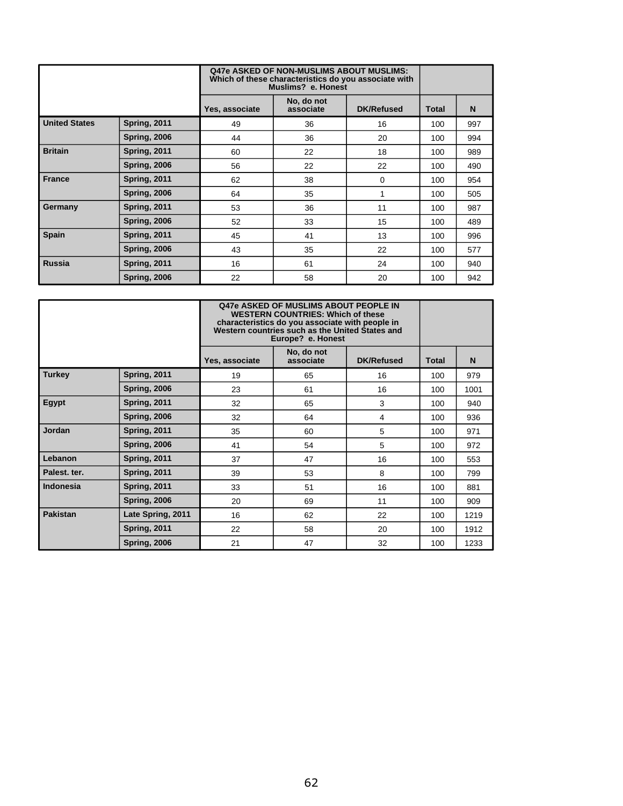|                      |                     | <b>Q47e ASKED OF NON-MUSLIMS ABOUT MUSLIMS:</b><br>Which of these characteristics do you associate with<br>Muslims? e. Honest |                         |                   |              |     |
|----------------------|---------------------|-------------------------------------------------------------------------------------------------------------------------------|-------------------------|-------------------|--------------|-----|
|                      |                     | Yes, associate                                                                                                                | No, do not<br>associate | <b>DK/Refused</b> | <b>Total</b> | N   |
| <b>United States</b> | <b>Spring, 2011</b> | 49                                                                                                                            | 36                      | 16                | 100          | 997 |
|                      | <b>Spring, 2006</b> | 44                                                                                                                            | 36                      | 20                | 100          | 994 |
| <b>Britain</b>       | <b>Spring, 2011</b> | 60                                                                                                                            | 22                      | 18                | 100          | 989 |
|                      | <b>Spring, 2006</b> | 56                                                                                                                            | 22                      | 22                | 100          | 490 |
| <b>France</b>        | <b>Spring, 2011</b> | 62                                                                                                                            | 38                      | 0                 | 100          | 954 |
|                      | <b>Spring, 2006</b> | 64                                                                                                                            | 35                      | 1                 | 100          | 505 |
| Germany              | <b>Spring, 2011</b> | 53                                                                                                                            | 36                      | 11                | 100          | 987 |
|                      | <b>Spring, 2006</b> | 52                                                                                                                            | 33                      | 15                | 100          | 489 |
| <b>Spain</b>         | <b>Spring, 2011</b> | 45                                                                                                                            | 41                      | 13                | 100          | 996 |
|                      | <b>Spring, 2006</b> | 43                                                                                                                            | 35                      | 22                | 100          | 577 |
| <b>Russia</b>        | <b>Spring, 2011</b> | 16                                                                                                                            | 61                      | 24                | 100          | 940 |
|                      | <b>Spring, 2006</b> | 22                                                                                                                            | 58                      | 20                | 100          | 942 |

|                  |                     | <b>Q47e ASKED OF MUSLIMS ABOUT PEOPLE IN</b><br><b>WESTERN COUNTRIES: Which of these</b><br>characteristics do you associate with people in<br>Western countries such as the United States and<br>Europe? e. Honest |                         |                   |              |      |
|------------------|---------------------|---------------------------------------------------------------------------------------------------------------------------------------------------------------------------------------------------------------------|-------------------------|-------------------|--------------|------|
|                  |                     | Yes, associate                                                                                                                                                                                                      | No, do not<br>associate | <b>DK/Refused</b> | <b>Total</b> | N    |
| <b>Turkey</b>    | <b>Spring, 2011</b> | 19                                                                                                                                                                                                                  | 65                      | 16                | 100          | 979  |
|                  | <b>Spring, 2006</b> | 23                                                                                                                                                                                                                  | 61                      | 16                | 100          | 1001 |
| Egypt            | <b>Spring, 2011</b> | 32                                                                                                                                                                                                                  | 65                      | 3                 | 100          | 940  |
|                  | <b>Spring, 2006</b> | 32                                                                                                                                                                                                                  | 64                      | 4                 | 100          | 936  |
| Jordan           | <b>Spring, 2011</b> | 35                                                                                                                                                                                                                  | 60                      | 5                 | 100          | 971  |
|                  | <b>Spring, 2006</b> | 41                                                                                                                                                                                                                  | 54                      | 5                 | 100          | 972  |
| Lebanon          | <b>Spring, 2011</b> | 37                                                                                                                                                                                                                  | 47                      | 16                | 100          | 553  |
| Palest. ter.     | <b>Spring, 2011</b> | 39                                                                                                                                                                                                                  | 53                      | 8                 | 100          | 799  |
| <b>Indonesia</b> | <b>Spring, 2011</b> | 33                                                                                                                                                                                                                  | 51                      | 16                | 100          | 881  |
|                  | <b>Spring, 2006</b> | 20                                                                                                                                                                                                                  | 69                      | 11                | 100          | 909  |
| <b>Pakistan</b>  | Late Spring, 2011   | 16                                                                                                                                                                                                                  | 62                      | 22                | 100          | 1219 |
|                  | <b>Spring, 2011</b> | 22                                                                                                                                                                                                                  | 58                      | 20                | 100          | 1912 |
|                  | <b>Spring, 2006</b> | 21                                                                                                                                                                                                                  | 47                      | 32                | 100          | 1233 |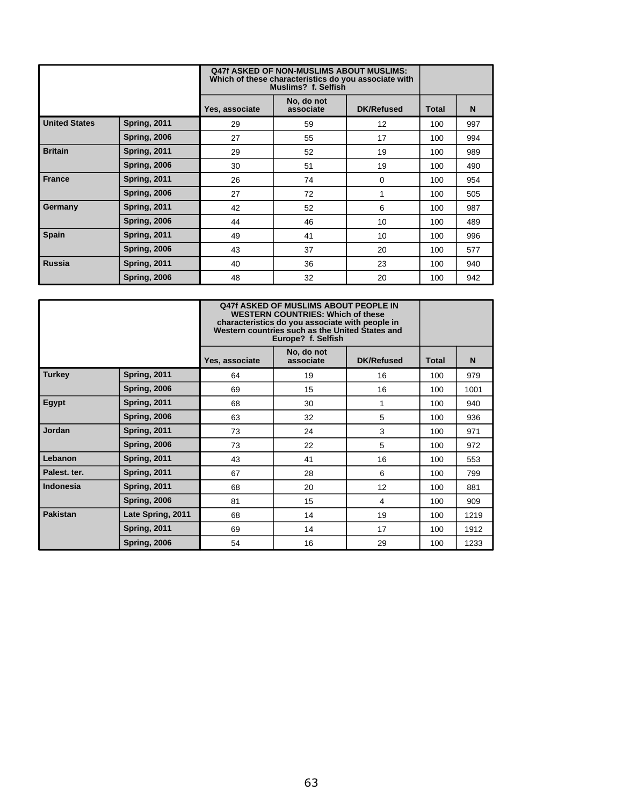|                      |                     | <b>Q47f ASKED OF NON-MUSLIMS ABOUT MUSLIMS:</b><br>Which of these characteristics do you associate with<br>Muslims? f. Selfish |                         |                   |              |     |
|----------------------|---------------------|--------------------------------------------------------------------------------------------------------------------------------|-------------------------|-------------------|--------------|-----|
|                      |                     | Yes, associate                                                                                                                 | No, do not<br>associate | <b>DK/Refused</b> | <b>Total</b> | N   |
| <b>United States</b> | <b>Spring, 2011</b> | 29                                                                                                                             | 59                      | 12                | 100          | 997 |
|                      | <b>Spring, 2006</b> | 27                                                                                                                             | 55                      | 17                | 100          | 994 |
| <b>Britain</b>       | <b>Spring, 2011</b> | 29                                                                                                                             | 52                      | 19                | 100          | 989 |
|                      | <b>Spring, 2006</b> | 30                                                                                                                             | 51                      | 19                | 100          | 490 |
| <b>France</b>        | <b>Spring, 2011</b> | 26                                                                                                                             | 74                      | 0                 | 100          | 954 |
|                      | <b>Spring, 2006</b> | 27                                                                                                                             | 72                      | 1                 | 100          | 505 |
| Germany              | <b>Spring, 2011</b> | 42                                                                                                                             | 52                      | 6                 | 100          | 987 |
|                      | <b>Spring, 2006</b> | 44                                                                                                                             | 46                      | 10                | 100          | 489 |
| <b>Spain</b>         | <b>Spring, 2011</b> | 49                                                                                                                             | 41                      | 10                | 100          | 996 |
|                      | <b>Spring, 2006</b> | 43                                                                                                                             | 37                      | 20                | 100          | 577 |
| <b>Russia</b>        | <b>Spring, 2011</b> | 40                                                                                                                             | 36                      | 23                | 100          | 940 |
|                      | <b>Spring, 2006</b> | 48                                                                                                                             | 32                      | 20                | 100          | 942 |

|                  |                     | 047f ASKED OF MUSLIMS ABOUT PEOPLE IN<br><b>WESTERN COUNTRIES: Which of these</b><br>characteristics do you associate with people in<br>Western countries such as the United States and<br>Europe? f. Selfish |                         |                   |              |      |
|------------------|---------------------|---------------------------------------------------------------------------------------------------------------------------------------------------------------------------------------------------------------|-------------------------|-------------------|--------------|------|
|                  |                     | Yes, associate                                                                                                                                                                                                | No, do not<br>associate | <b>DK/Refused</b> | <b>Total</b> | N    |
| <b>Turkey</b>    | <b>Spring, 2011</b> | 64                                                                                                                                                                                                            | 19                      | 16                | 100          | 979  |
|                  | <b>Spring, 2006</b> | 69                                                                                                                                                                                                            | 15                      | 16                | 100          | 1001 |
| <b>Egypt</b>     | <b>Spring, 2011</b> | 68                                                                                                                                                                                                            | 30                      | 1                 | 100          | 940  |
|                  | <b>Spring, 2006</b> | 63                                                                                                                                                                                                            | 32                      | 5                 | 100          | 936  |
| <b>Jordan</b>    | <b>Spring, 2011</b> | 73                                                                                                                                                                                                            | 24                      | 3                 | 100          | 971  |
|                  | <b>Spring, 2006</b> | 73                                                                                                                                                                                                            | 22                      | 5                 | 100          | 972  |
| Lebanon          | <b>Spring, 2011</b> | 43                                                                                                                                                                                                            | 41                      | 16                | 100          | 553  |
| Palest. ter.     | <b>Spring, 2011</b> | 67                                                                                                                                                                                                            | 28                      | 6                 | 100          | 799  |
| <b>Indonesia</b> | <b>Spring, 2011</b> | 68                                                                                                                                                                                                            | 20                      | 12                | 100          | 881  |
|                  | <b>Spring, 2006</b> | 81                                                                                                                                                                                                            | 15                      | 4                 | 100          | 909  |
| <b>Pakistan</b>  | Late Spring, 2011   | 68                                                                                                                                                                                                            | 14                      | 19                | 100          | 1219 |
|                  | <b>Spring, 2011</b> | 69                                                                                                                                                                                                            | 14                      | 17                | 100          | 1912 |
|                  | <b>Spring, 2006</b> | 54                                                                                                                                                                                                            | 16                      | 29                | 100          | 1233 |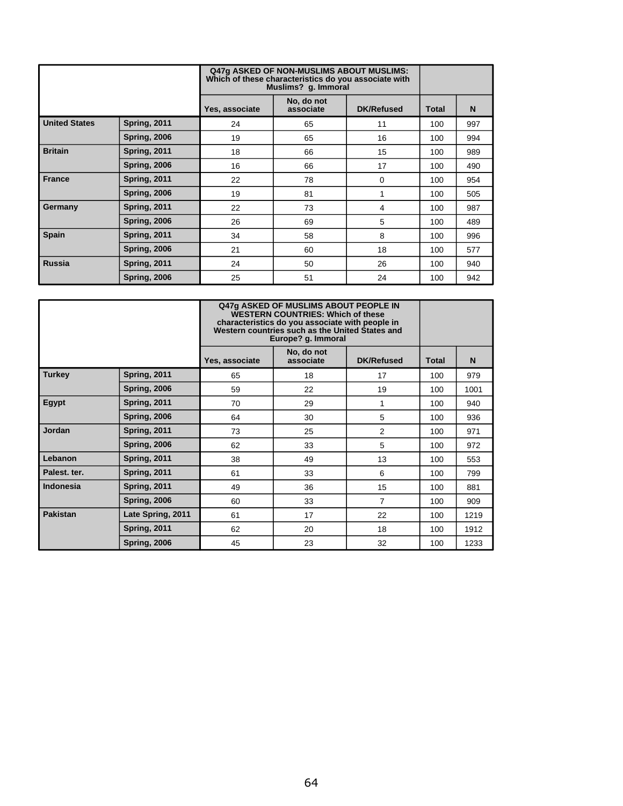|                      |                     | Q47q ASKED OF NON-MUSLIMS ABOUT MUSLIMS:<br>Which of these characteristics do you associate with<br>Muslims? g. Immoral |                         |                   |              |     |
|----------------------|---------------------|-------------------------------------------------------------------------------------------------------------------------|-------------------------|-------------------|--------------|-----|
|                      |                     | Yes, associate                                                                                                          | No, do not<br>associate | <b>DK/Refused</b> | <b>Total</b> | N   |
| <b>United States</b> | <b>Spring, 2011</b> | 24                                                                                                                      | 65                      | 11                | 100          | 997 |
|                      | <b>Spring, 2006</b> | 19                                                                                                                      | 65                      | 16                | 100          | 994 |
| <b>Britain</b>       | <b>Spring, 2011</b> | 18                                                                                                                      | 66                      | 15                | 100          | 989 |
|                      | <b>Spring, 2006</b> | 16                                                                                                                      | 66                      | 17                | 100          | 490 |
| <b>France</b>        | <b>Spring, 2011</b> | 22                                                                                                                      | 78                      | 0                 | 100          | 954 |
|                      | <b>Spring, 2006</b> | 19                                                                                                                      | 81                      | 1                 | 100          | 505 |
| Germany              | <b>Spring, 2011</b> | 22                                                                                                                      | 73                      | 4                 | 100          | 987 |
|                      | <b>Spring, 2006</b> | 26                                                                                                                      | 69                      | 5                 | 100          | 489 |
| <b>Spain</b>         | <b>Spring, 2011</b> | 34                                                                                                                      | 58                      | 8                 | 100          | 996 |
|                      | <b>Spring, 2006</b> | 21                                                                                                                      | 60                      | 18                | 100          | 577 |
| <b>Russia</b>        | <b>Spring, 2011</b> | 24                                                                                                                      | 50                      | 26                | 100          | 940 |
|                      | <b>Spring, 2006</b> | 25                                                                                                                      | 51                      | 24                | 100          | 942 |

|                  |                     | Q47g ASKED OF MUSLIMS ABOUT PEOPLE IN<br><b>WESTERN COUNTRIES: Which of these</b><br>characteristics do you associate with people in<br>Western countries such as the United States and<br>Europe? g. Immoral |                         |                   |              |      |
|------------------|---------------------|---------------------------------------------------------------------------------------------------------------------------------------------------------------------------------------------------------------|-------------------------|-------------------|--------------|------|
|                  |                     | Yes, associate                                                                                                                                                                                                | No, do not<br>associate | <b>DK/Refused</b> | <b>Total</b> | N    |
| <b>Turkey</b>    | <b>Spring, 2011</b> | 65                                                                                                                                                                                                            | 18                      | 17                | 100          | 979  |
|                  | <b>Spring, 2006</b> | 59                                                                                                                                                                                                            | 22                      | 19                | 100          | 1001 |
| <b>Egypt</b>     | <b>Spring, 2011</b> | 70                                                                                                                                                                                                            | 29                      | 1                 | 100          | 940  |
|                  | <b>Spring, 2006</b> | 64                                                                                                                                                                                                            | 30                      | 5                 | 100          | 936  |
| <b>Jordan</b>    | <b>Spring, 2011</b> | 73                                                                                                                                                                                                            | 25                      | 2                 | 100          | 971  |
|                  | <b>Spring, 2006</b> | 62                                                                                                                                                                                                            | 33                      | 5                 | 100          | 972  |
| Lebanon          | <b>Spring, 2011</b> | 38                                                                                                                                                                                                            | 49                      | 13                | 100          | 553  |
| Palest. ter.     | <b>Spring, 2011</b> | 61                                                                                                                                                                                                            | 33                      | 6                 | 100          | 799  |
| <b>Indonesia</b> | <b>Spring, 2011</b> | 49                                                                                                                                                                                                            | 36                      | 15                | 100          | 881  |
|                  | <b>Spring, 2006</b> | 60                                                                                                                                                                                                            | 33                      | $\overline{7}$    | 100          | 909  |
| <b>Pakistan</b>  | Late Spring, 2011   | 61                                                                                                                                                                                                            | 17                      | 22                | 100          | 1219 |
|                  | <b>Spring, 2011</b> | 62                                                                                                                                                                                                            | 20                      | 18                | 100          | 1912 |
|                  | <b>Spring, 2006</b> | 45                                                                                                                                                                                                            | 23                      | 32                | 100          | 1233 |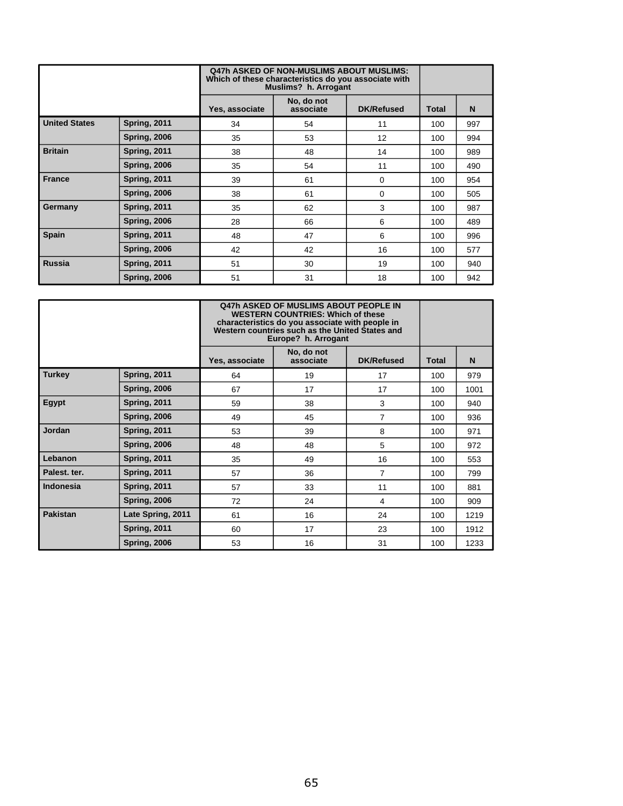|                      |                     |                | <b>Q47h ASKED OF NON-MUSLIMS ABOUT MUSLIMS:</b><br>Which of these characteristics do you associate with<br>Muslims? h. Arrogant |                   |       |     |
|----------------------|---------------------|----------------|---------------------------------------------------------------------------------------------------------------------------------|-------------------|-------|-----|
|                      |                     | Yes, associate | No, do not<br>associate                                                                                                         | <b>DK/Refused</b> | Total | N   |
| <b>United States</b> | <b>Spring, 2011</b> | 34             | 54                                                                                                                              | 11                | 100   | 997 |
|                      | <b>Spring, 2006</b> | 35             | 53                                                                                                                              | 12                | 100   | 994 |
| <b>Britain</b>       | <b>Spring, 2011</b> | 38             | 48                                                                                                                              | 14                | 100   | 989 |
|                      | <b>Spring, 2006</b> | 35             | 54                                                                                                                              | 11                | 100   | 490 |
| <b>France</b>        | <b>Spring, 2011</b> | 39             | 61                                                                                                                              | 0                 | 100   | 954 |
|                      | <b>Spring, 2006</b> | 38             | 61                                                                                                                              | $\Omega$          | 100   | 505 |
| Germany              | <b>Spring, 2011</b> | 35             | 62                                                                                                                              | 3                 | 100   | 987 |
|                      | <b>Spring, 2006</b> | 28             | 66                                                                                                                              | 6                 | 100   | 489 |
| <b>Spain</b>         | <b>Spring, 2011</b> | 48             | 47                                                                                                                              | 6                 | 100   | 996 |
|                      | <b>Spring, 2006</b> | 42             | 42                                                                                                                              | 16                | 100   | 577 |
| <b>Russia</b>        | <b>Spring, 2011</b> | 51             | 30                                                                                                                              | 19                | 100   | 940 |
|                      | <b>Spring, 2006</b> | 51             | 31                                                                                                                              | 18                | 100   | 942 |

|                  |                     | 047h ASKED OF MUSLIMS ABOUT PEOPLE IN<br><b>WESTERN COUNTRIES: Which of these</b><br>characteristics do you associate with people in<br>Western countries such as the United States and<br>Europe? h. Arrogant |                         |                   |              |      |
|------------------|---------------------|----------------------------------------------------------------------------------------------------------------------------------------------------------------------------------------------------------------|-------------------------|-------------------|--------------|------|
|                  |                     | Yes, associate                                                                                                                                                                                                 | No, do not<br>associate | <b>DK/Refused</b> | <b>Total</b> | N    |
| <b>Turkey</b>    | <b>Spring, 2011</b> | 64                                                                                                                                                                                                             | 19                      | 17                | 100          | 979  |
|                  | <b>Spring, 2006</b> | 67                                                                                                                                                                                                             | 17                      | 17                | 100          | 1001 |
| Egypt            | <b>Spring, 2011</b> | 59                                                                                                                                                                                                             | 38                      | 3                 | 100          | 940  |
|                  | <b>Spring, 2006</b> | 49                                                                                                                                                                                                             | 45                      | $\overline{7}$    | 100          | 936  |
| Jordan           | <b>Spring, 2011</b> | 53                                                                                                                                                                                                             | 39                      | 8                 | 100          | 971  |
|                  | <b>Spring, 2006</b> | 48                                                                                                                                                                                                             | 48                      | 5                 | 100          | 972  |
| Lebanon          | <b>Spring, 2011</b> | 35                                                                                                                                                                                                             | 49                      | 16                | 100          | 553  |
| Palest. ter.     | <b>Spring, 2011</b> | 57                                                                                                                                                                                                             | 36                      | $\overline{7}$    | 100          | 799  |
| <b>Indonesia</b> | <b>Spring, 2011</b> | 57                                                                                                                                                                                                             | 33                      | 11                | 100          | 881  |
|                  | <b>Spring, 2006</b> | 72                                                                                                                                                                                                             | 24                      | 4                 | 100          | 909  |
| <b>Pakistan</b>  | Late Spring, 2011   | 61                                                                                                                                                                                                             | 16                      | 24                | 100          | 1219 |
|                  | <b>Spring, 2011</b> | 60                                                                                                                                                                                                             | 17                      | 23                | 100          | 1912 |
|                  | <b>Spring, 2006</b> | 53                                                                                                                                                                                                             | 16                      | 31                | 100          | 1233 |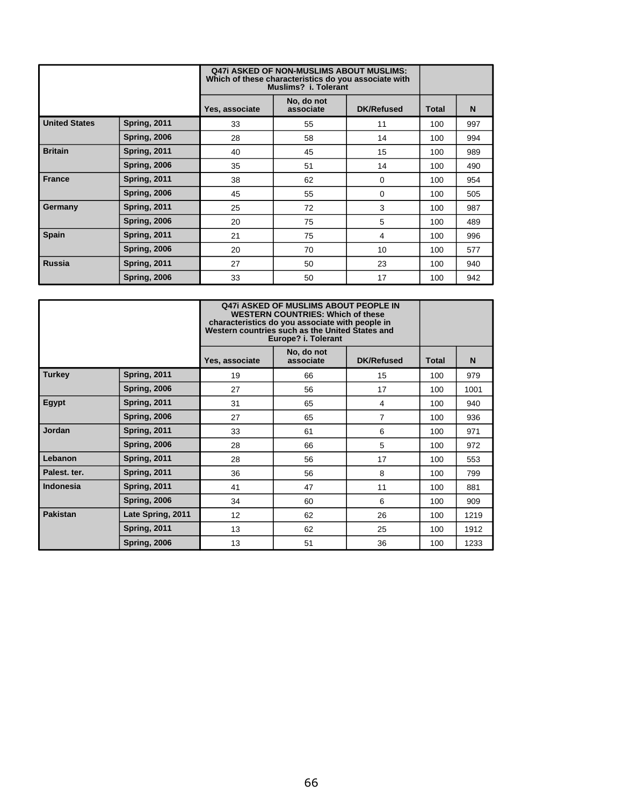|                      |                     |                | <b>Q47i ASKED OF NON-MUSLIMS ABOUT MUSLIMS:</b><br>Which of these characteristics do you associate with<br>Muslims? i. Tolerant |                   |              |     |
|----------------------|---------------------|----------------|---------------------------------------------------------------------------------------------------------------------------------|-------------------|--------------|-----|
|                      |                     | Yes, associate | No, do not<br>associate                                                                                                         | <b>DK/Refused</b> | <b>Total</b> | N   |
| <b>United States</b> | <b>Spring, 2011</b> | 33             | 55                                                                                                                              | 11                | 100          | 997 |
|                      | <b>Spring, 2006</b> | 28             | 58                                                                                                                              | 14                | 100          | 994 |
| <b>Britain</b>       | <b>Spring, 2011</b> | 40             | 45                                                                                                                              | 15                | 100          | 989 |
|                      | <b>Spring, 2006</b> | 35             | 51                                                                                                                              | 14                | 100          | 490 |
| <b>France</b>        | <b>Spring, 2011</b> | 38             | 62                                                                                                                              | 0                 | 100          | 954 |
|                      | <b>Spring, 2006</b> | 45             | 55                                                                                                                              | $\Omega$          | 100          | 505 |
| Germany              | <b>Spring, 2011</b> | 25             | 72                                                                                                                              | 3                 | 100          | 987 |
|                      | <b>Spring, 2006</b> | 20             | 75                                                                                                                              | 5                 | 100          | 489 |
| <b>Spain</b>         | <b>Spring, 2011</b> | 21             | 75                                                                                                                              | 4                 | 100          | 996 |
|                      | <b>Spring, 2006</b> | 20             | 70                                                                                                                              | 10                | 100          | 577 |
| <b>Russia</b>        | <b>Spring, 2011</b> | 27             | 50                                                                                                                              | 23                | 100          | 940 |
|                      | <b>Spring, 2006</b> | 33             | 50                                                                                                                              | 17                | 100          | 942 |

|                  |                     | <b>Q47i ASKED OF MUSLIMS ABOUT PEOPLE IN</b><br><b>WESTERN COUNTRIES: Which of these</b><br>characteristics do you associate with people in<br>Western countries such as the United States and<br>Europe? i. Tolerant |                         |                   |              |      |
|------------------|---------------------|-----------------------------------------------------------------------------------------------------------------------------------------------------------------------------------------------------------------------|-------------------------|-------------------|--------------|------|
|                  |                     | Yes, associate                                                                                                                                                                                                        | No, do not<br>associate | <b>DK/Refused</b> | <b>Total</b> | N    |
| <b>Turkey</b>    | <b>Spring, 2011</b> | 19                                                                                                                                                                                                                    | 66                      | 15                | 100          | 979  |
|                  | <b>Spring, 2006</b> | 27                                                                                                                                                                                                                    | 56                      | 17                | 100          | 1001 |
| <b>Egypt</b>     | <b>Spring, 2011</b> | 31                                                                                                                                                                                                                    | 65                      | 4                 | 100          | 940  |
|                  | <b>Spring, 2006</b> | 27                                                                                                                                                                                                                    | 65                      | $\overline{7}$    | 100          | 936  |
| <b>Jordan</b>    | <b>Spring, 2011</b> | 33                                                                                                                                                                                                                    | 61                      | 6                 | 100          | 971  |
|                  | <b>Spring, 2006</b> | 28                                                                                                                                                                                                                    | 66                      | 5                 | 100          | 972  |
| Lebanon          | <b>Spring, 2011</b> | 28                                                                                                                                                                                                                    | 56                      | 17                | 100          | 553  |
| Palest. ter.     | <b>Spring, 2011</b> | 36                                                                                                                                                                                                                    | 56                      | 8                 | 100          | 799  |
| <b>Indonesia</b> | <b>Spring, 2011</b> | 41                                                                                                                                                                                                                    | 47                      | 11                | 100          | 881  |
|                  | <b>Spring, 2006</b> | 34                                                                                                                                                                                                                    | 60                      | 6                 | 100          | 909  |
| <b>Pakistan</b>  | Late Spring, 2011   | 12                                                                                                                                                                                                                    | 62                      | 26                | 100          | 1219 |
|                  | <b>Spring, 2011</b> | 13                                                                                                                                                                                                                    | 62                      | 25                | 100          | 1912 |
|                  | <b>Spring, 2006</b> | 13                                                                                                                                                                                                                    | 51                      | 36                | 100          | 1233 |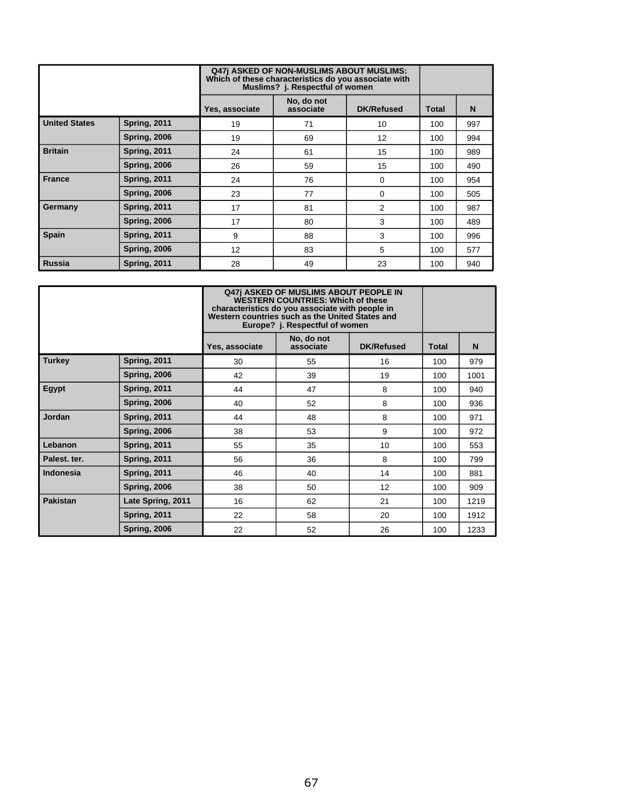|                      |                     | <b>Q47j ASKED OF NON-MUSLIMS ABOUT MUSLIMS:</b><br>Which of these characteristics do you associate with<br>Muslims? j. Respectful of women |                         |                   |              |     |
|----------------------|---------------------|--------------------------------------------------------------------------------------------------------------------------------------------|-------------------------|-------------------|--------------|-----|
|                      |                     | Yes, associate                                                                                                                             | No, do not<br>associate | <b>DK/Refused</b> | <b>Total</b> | N   |
| <b>United States</b> | <b>Spring, 2011</b> | 19                                                                                                                                         | 71                      | 10                | 100          | 997 |
|                      | <b>Spring, 2006</b> | 19                                                                                                                                         | 69                      | 12                | 100          | 994 |
| <b>Britain</b>       | <b>Spring, 2011</b> | 24                                                                                                                                         | 61                      | 15                | 100          | 989 |
|                      | <b>Spring, 2006</b> | 26                                                                                                                                         | 59                      | 15                | 100          | 490 |
| <b>France</b>        | <b>Spring, 2011</b> | 24                                                                                                                                         | 76                      | 0                 | 100          | 954 |
|                      | <b>Spring, 2006</b> | 23                                                                                                                                         | 77                      | 0                 | 100          | 505 |
| Germany              | Spring, 2011        | 17                                                                                                                                         | 81                      | 2                 | 100          | 987 |
|                      | <b>Spring, 2006</b> | 17                                                                                                                                         | 80                      | 3                 | 100          | 489 |
| Spain                | Spring, 2011        | 9                                                                                                                                          | 88                      | 3                 | 100          | 996 |
|                      | <b>Spring, 2006</b> | 12                                                                                                                                         | 83                      | 5                 | 100          | 577 |
| <b>Russia</b>        | <b>Spring, 2011</b> | 28                                                                                                                                         | 49                      | 23                | 100          | 940 |

|                 |                     | <b>Q47j ASKED OF MUSLIMS ABOUT PEOPLE IN</b><br><b>WESTERN COUNTRIES: Which of these</b><br>characteristics do you associate with people in<br>Western countries such as the United States and<br>Europe? j. Respectful of women |                         |                   |              |      |  |
|-----------------|---------------------|----------------------------------------------------------------------------------------------------------------------------------------------------------------------------------------------------------------------------------|-------------------------|-------------------|--------------|------|--|
|                 |                     | Yes, associate                                                                                                                                                                                                                   | No, do not<br>associate | <b>DK/Refused</b> | <b>Total</b> | N    |  |
| <b>Turkey</b>   | Spring, 2011        | 30                                                                                                                                                                                                                               | 55                      | 16                | 100          | 979  |  |
|                 | <b>Spring, 2006</b> | 42                                                                                                                                                                                                                               | 39                      | 19                | 100          | 1001 |  |
| Egypt           | Spring, 2011        | 44                                                                                                                                                                                                                               | 47                      | 8                 | 100          | 940  |  |
|                 | <b>Spring, 2006</b> | 40                                                                                                                                                                                                                               | 52                      | 8                 | 100          | 936  |  |
| <b>Jordan</b>   | Spring, 2011        | 44                                                                                                                                                                                                                               | 48                      | 8                 | 100          | 971  |  |
|                 | <b>Spring, 2006</b> | 38                                                                                                                                                                                                                               | 53                      | 9                 | 100          | 972  |  |
| Lebanon         | Spring, 2011        | 55                                                                                                                                                                                                                               | 35                      | 10                | 100          | 553  |  |
| Palest. ter.    | Spring, 2011        | 56                                                                                                                                                                                                                               | 36                      | 8                 | 100          | 799  |  |
| Indonesia       | Spring, 2011        | 46                                                                                                                                                                                                                               | 40                      | 14                | 100          | 881  |  |
|                 | <b>Spring, 2006</b> | 38                                                                                                                                                                                                                               | 50                      | 12                | 100          | 909  |  |
| <b>Pakistan</b> | Late Spring, 2011   | 16                                                                                                                                                                                                                               | 62                      | 21                | 100          | 1219 |  |
|                 | Spring, 2011        | 22                                                                                                                                                                                                                               | 58                      | 20                | 100          | 1912 |  |
|                 | <b>Spring, 2006</b> | 22                                                                                                                                                                                                                               | 52                      | 26                | 100          | 1233 |  |